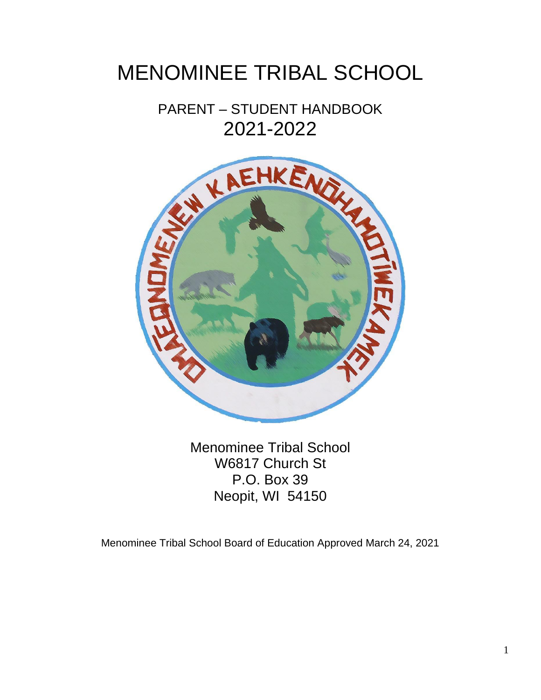# MENOMINEE TRIBAL SCHOOL

PARENT – STUDENT HANDBOOK 2021-2022



Menominee Tribal School W6817 Church St P.O. Box 39 Neopit, WI 54150

Menominee Tribal School Board of Education Approved March 24, 2021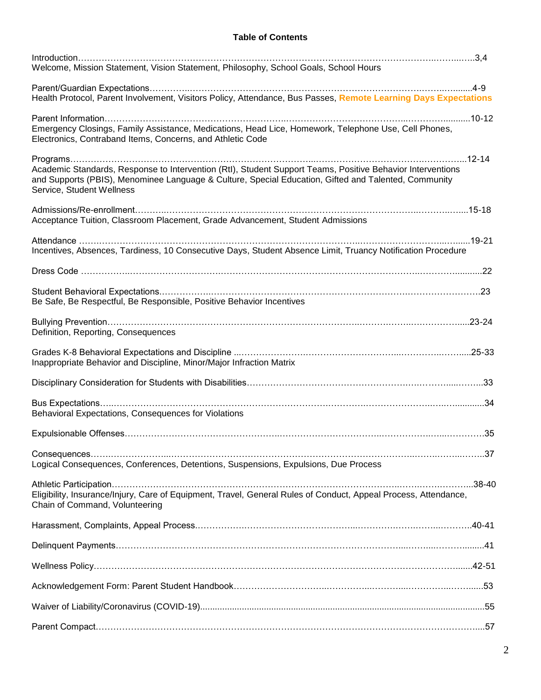### **Table of Contents**

| Welcome, Mission Statement, Vision Statement, Philosophy, School Goals, School Hours                                                                                                                                                            |
|-------------------------------------------------------------------------------------------------------------------------------------------------------------------------------------------------------------------------------------------------|
|                                                                                                                                                                                                                                                 |
| Health Protocol, Parent Involvement, Visitors Policy, Attendance, Bus Passes, Remote Learning Days Expectations                                                                                                                                 |
| Emergency Closings, Family Assistance, Medications, Head Lice, Homework, Telephone Use, Cell Phones,<br>Electronics, Contraband Items, Concerns, and Athletic Code                                                                              |
| Academic Standards, Response to Intervention (Rtl), Student Support Teams, Positive Behavior Interventions<br>and Supports (PBIS), Menominee Language & Culture, Special Education, Gifted and Talented, Community<br>Service, Student Wellness |
|                                                                                                                                                                                                                                                 |
| Acceptance Tuition, Classroom Placement, Grade Advancement, Student Admissions                                                                                                                                                                  |
|                                                                                                                                                                                                                                                 |
| Incentives, Absences, Tardiness, 10 Consecutive Days, Student Absence Limit, Truancy Notification Procedure                                                                                                                                     |
|                                                                                                                                                                                                                                                 |
|                                                                                                                                                                                                                                                 |
| Be Safe, Be Respectful, Be Responsible, Positive Behavior Incentives                                                                                                                                                                            |
|                                                                                                                                                                                                                                                 |
| Definition, Reporting, Consequences                                                                                                                                                                                                             |
|                                                                                                                                                                                                                                                 |
| Inappropriate Behavior and Discipline, Minor/Major Infraction Matrix                                                                                                                                                                            |
|                                                                                                                                                                                                                                                 |
|                                                                                                                                                                                                                                                 |
| Behavioral Expectations, Consequences for Violations                                                                                                                                                                                            |
|                                                                                                                                                                                                                                                 |
|                                                                                                                                                                                                                                                 |
| Logical Consequences, Conferences, Detentions, Suspensions, Expulsions, Due Process                                                                                                                                                             |
|                                                                                                                                                                                                                                                 |
| Eligibility, Insurance/Injury, Care of Equipment, Travel, General Rules of Conduct, Appeal Process, Attendance,<br>Chain of Command, Volunteering                                                                                               |
|                                                                                                                                                                                                                                                 |
|                                                                                                                                                                                                                                                 |
|                                                                                                                                                                                                                                                 |
|                                                                                                                                                                                                                                                 |
|                                                                                                                                                                                                                                                 |
|                                                                                                                                                                                                                                                 |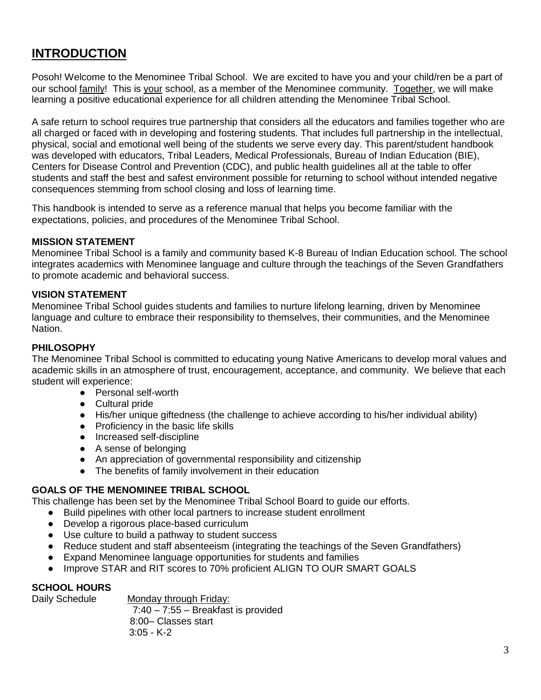# **INTRODUCTION**

Posoh! Welcome to the Menominee Tribal School. We are excited to have you and your child/ren be a part of our school family! This is your school, as a member of the Menominee community. Together, we will make learning a positive educational experience for all children attending the Menominee Tribal School.

A safe return to school requires true partnership that considers all the educators and families together who are all charged or faced with in developing and fostering students. That includes full partnership in the intellectual, physical, social and emotional well being of the students we serve every day. This parent/student handbook was developed with educators, Tribal Leaders, Medical Professionals, Bureau of Indian Education (BIE), Centers for Disease Control and Prevention (CDC), and public health guidelines all at the table to offer students and staff the best and safest environment possible for returning to school without intended negative consequences stemming from school closing and loss of learning time.

This handbook is intended to serve as a reference manual that helps you become familiar with the expectations, policies, and procedures of the Menominee Tribal School.

#### **MISSION STATEMENT**

Menominee Tribal School is a family and community based K-8 Bureau of Indian Education school. The school integrates academics with Menominee language and culture through the teachings of the Seven Grandfathers to promote academic and behavioral success.

#### **VISION STATEMENT**

Menominee Tribal School guides students and families to nurture lifelong learning, driven by Menominee language and culture to embrace their responsibility to themselves, their communities, and the Menominee Nation.

#### **PHILOSOPHY**

The Menominee Tribal School is committed to educating young Native Americans to develop moral values and academic skills in an atmosphere of trust, encouragement, acceptance, and community. We believe that each student will experience:

- Personal self-worth
- Cultural pride
- His/her unique giftedness (the challenge to achieve according to his/her individual ability)
- Proficiency in the basic life skills
- Increased self-discipline
- A sense of belonging
- An appreciation of governmental responsibility and citizenship
- The benefits of family involvement in their education

#### **GOALS OF THE MENOMINEE TRIBAL SCHOOL**

This challenge has been set by the Menominee Tribal School Board to guide our efforts.

- Build pipelines with other local partners to increase student enrollment
- Develop a rigorous place-based curriculum
- Use culture to build a pathway to student success
- Reduce student and staff absenteeism (integrating the teachings of the Seven Grandfathers)
- Expand Menominee language opportunities for students and families
- Improve STAR and RIT scores to 70% proficient ALIGN TO OUR SMART GOALS

#### **SCHOOL HOURS**

Daily Schedule Monday through Friday: 7:40 – 7:55 – Breakfast is provided 8:00– Classes start 3:05 - K-2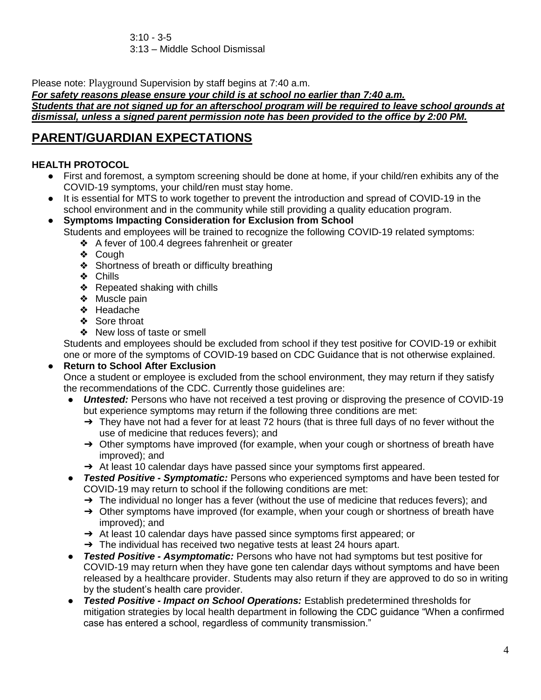$3:10 - 3-5$ 3:13 – Middle School Dismissal

Please note: Playground Supervision by staff begins at 7:40 a.m.

*For safety reasons please ensure your child is at school no earlier than 7:40 a.m. Students that are not signed up for an afterschool program will be required to leave school grounds at dismissal, unless a signed parent permission note has been provided to the office by 2:00 PM.*

# **PARENT/GUARDIAN EXPECTATIONS**

# **HEALTH PROTOCOL**

- First and foremost, a symptom screening should be done at home, if your child/ren exhibits any of the COVID-19 symptoms, your child/ren must stay home.
- It is essential for MTS to work together to prevent the introduction and spread of COVID-19 in the school environment and in the community while still providing a quality education program.
- **Symptoms Impacting Consideration for Exclusion from School** Students and employees will be trained to recognize the following COVID-19 related symptoms:
	- ❖ A fever of 100.4 degrees fahrenheit or greater
	- ❖ Cough
	- ❖ Shortness of breath or difficulty breathing
	- ❖ Chills
	- ❖ Repeated shaking with chills
	- ❖ Muscle pain
	- ❖ Headache
	- ❖ Sore throat
	- ❖ New loss of taste or smell

Students and employees should be excluded from school if they test positive for COVID-19 or exhibit one or more of the symptoms of COVID-19 based on CDC Guidance that is not otherwise explained.

# **Return to School After Exclusion**

- Once a student or employee is excluded from the school environment, they may return if they satisfy the recommendations of the CDC. Currently those guidelines are:
	- **Untested:** Persons who have not received a test proving or disproving the presence of COVID-19 but experience symptoms may return if the following three conditions are met:
		- $\rightarrow$  They have not had a fever for at least 72 hours (that is three full days of no fever without the use of medicine that reduces fevers); and
		- → Other symptoms have improved (for example, when your cough or shortness of breath have improved); and
		- → At least 10 calendar days have passed since your symptoms first appeared.
	- *Tested Positive - Symptomatic:* Persons who experienced symptoms and have been tested for COVID-19 may return to school if the following conditions are met:
		- $\rightarrow$  The individual no longer has a fever (without the use of medicine that reduces fevers); and
		- → Other symptoms have improved (for example, when your cough or shortness of breath have improved); and
		- ➔ At least 10 calendar days have passed since symptoms first appeared; or
		- $\rightarrow$  The individual has received two negative tests at least 24 hours apart.
- *Tested Positive - Asymptomatic:* Persons who have not had symptoms but test positive for COVID-19 may return when they have gone ten calendar days without symptoms and have been released by a healthcare provider. Students may also return if they are approved to do so in writing by the student's health care provider.
- *Tested Positive - Impact on School Operations:* Establish predetermined thresholds for mitigation strategies by local health department in following the CDC guidance "When a confirmed case has entered a school, regardless of community transmission."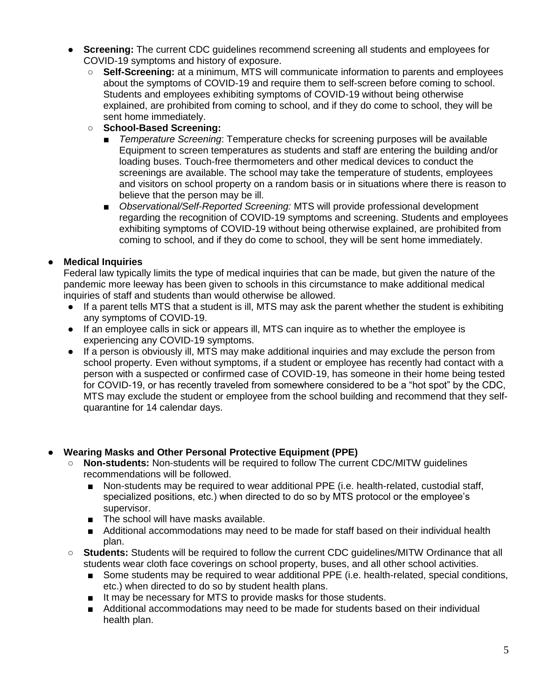- **Screening:** The current CDC guidelines recommend screening all students and employees for COVID-19 symptoms and history of exposure.
	- **Self-Screening:** at a minimum, MTS will communicate information to parents and employees about the symptoms of COVID-19 and require them to self-screen before coming to school. Students and employees exhibiting symptoms of COVID-19 without being otherwise explained, are prohibited from coming to school, and if they do come to school, they will be sent home immediately.
	- **School-Based Screening:**
		- *Temperature Screening*: Temperature checks for screening purposes will be available Equipment to screen temperatures as students and staff are entering the building and/or loading buses. Touch-free thermometers and other medical devices to conduct the screenings are available. The school may take the temperature of students, employees and visitors on school property on a random basis or in situations where there is reason to believe that the person may be ill.
		- *Observational/Self-Reported Screening:* MTS will provide professional development regarding the recognition of COVID-19 symptoms and screening. Students and employees exhibiting symptoms of COVID-19 without being otherwise explained, are prohibited from coming to school, and if they do come to school, they will be sent home immediately.

# **Medical Inquiries**

Federal law typically limits the type of medical inquiries that can be made, but given the nature of the pandemic more leeway has been given to schools in this circumstance to make additional medical inquiries of staff and students than would otherwise be allowed.

- If a parent tells MTS that a student is ill, MTS may ask the parent whether the student is exhibiting any symptoms of COVID-19.
- If an employee calls in sick or appears ill, MTS can inquire as to whether the employee is experiencing any COVID-19 symptoms.
- If a person is obviously ill, MTS may make additional inquiries and may exclude the person from school property. Even without symptoms, if a student or employee has recently had contact with a person with a suspected or confirmed case of COVID-19, has someone in their home being tested for COVID-19, or has recently traveled from somewhere considered to be a "hot spot" by the CDC, MTS may exclude the student or employee from the school building and recommend that they selfquarantine for 14 calendar days.

# **Wearing Masks and Other Personal Protective Equipment (PPE)**

- **Non-students:** Non-students will be required to follow The current CDC/MITW guidelines recommendations will be followed.
	- Non-students may be required to wear additional PPE (i.e. health-related, custodial staff, specialized positions, etc.) when directed to do so by MTS protocol or the employee's supervisor.
	- The school will have masks available.
	- Additional accommodations may need to be made for staff based on their individual health plan.
- **Students:** Students will be required to follow the current CDC guidelines/MITW Ordinance that all students wear cloth face coverings on school property, buses, and all other school activities.
	- Some students may be required to wear additional PPE (i.e. health-related, special conditions, etc.) when directed to do so by student health plans.
	- It may be necessary for MTS to provide masks for those students.
	- Additional accommodations may need to be made for students based on their individual health plan.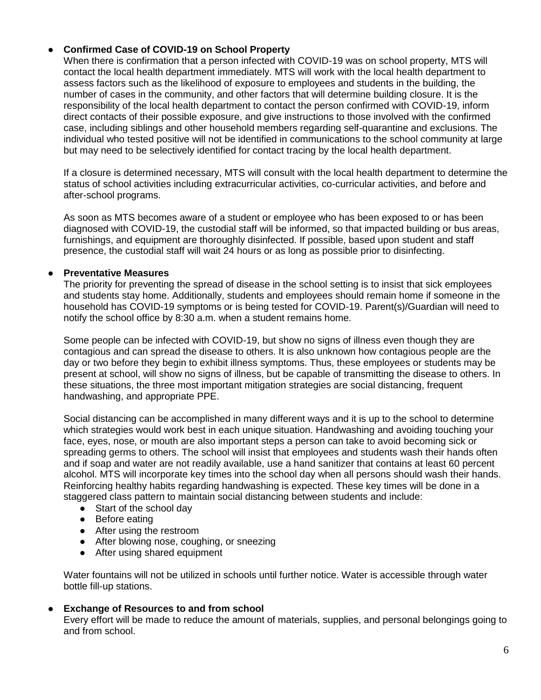#### **Confirmed Case of COVID-19 on School Property**

When there is confirmation that a person infected with COVID-19 was on school property, MTS will contact the local health department immediately. MTS will work with the local health department to assess factors such as the likelihood of exposure to employees and students in the building, the number of cases in the community, and other factors that will determine building closure. It is the responsibility of the local health department to contact the person confirmed with COVID-19, inform direct contacts of their possible exposure, and give instructions to those involved with the confirmed case, including siblings and other household members regarding self-quarantine and exclusions. The individual who tested positive will not be identified in communications to the school community at large but may need to be selectively identified for contact tracing by the local health department.

If a closure is determined necessary, MTS will consult with the local health department to determine the status of school activities including extracurricular activities, co-curricular activities, and before and after-school programs.

As soon as MTS becomes aware of a student or employee who has been exposed to or has been diagnosed with COVID-19, the custodial staff will be informed, so that impacted building or bus areas, furnishings, and equipment are thoroughly disinfected. If possible, based upon student and staff presence, the custodial staff will wait 24 hours or as long as possible prior to disinfecting.

#### **Preventative Measures**

The priority for preventing the spread of disease in the school setting is to insist that sick employees and students stay home. Additionally, students and employees should remain home if someone in the household has COVID-19 symptoms or is being tested for COVID-19. Parent(s)/Guardian will need to notify the school office by 8:30 a.m. when a student remains home.

Some people can be infected with COVID-19, but show no signs of illness even though they are contagious and can spread the disease to others. It is also unknown how contagious people are the day or two before they begin to exhibit illness symptoms. Thus, these employees or students may be present at school, will show no signs of illness, but be capable of transmitting the disease to others. In these situations, the three most important mitigation strategies are social distancing, frequent handwashing, and appropriate PPE.

Social distancing can be accomplished in many different ways and it is up to the school to determine which strategies would work best in each unique situation. Handwashing and avoiding touching your face, eyes, nose, or mouth are also important steps a person can take to avoid becoming sick or spreading germs to others. The school will insist that employees and students wash their hands often and if soap and water are not readily available, use a hand sanitizer that contains at least 60 percent alcohol. MTS will incorporate key times into the school day when all persons should wash their hands. Reinforcing healthy habits regarding handwashing is expected. These key times will be done in a staggered class pattern to maintain social distancing between students and include:

- Start of the school day
- Before eating
- After using the restroom
- After blowing nose, coughing, or sneezing
- After using shared equipment

Water fountains will not be utilized in schools until further notice. Water is accessible through water bottle fill-up stations.

#### **Exchange of Resources to and from school**

Every effort will be made to reduce the amount of materials, supplies, and personal belongings going to and from school.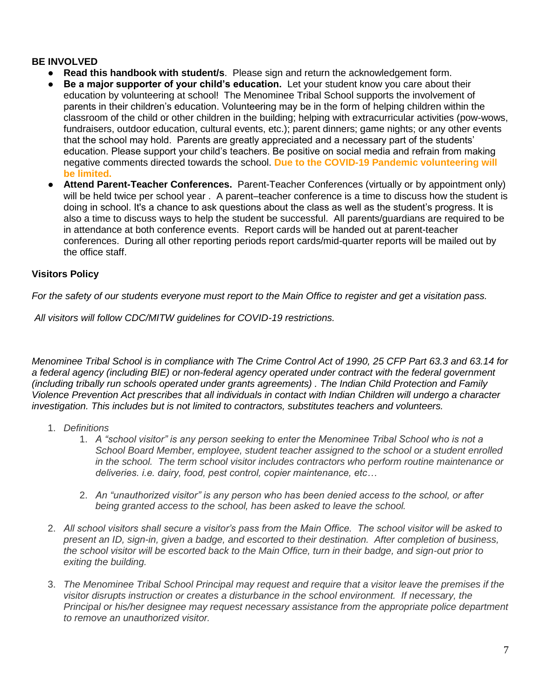#### **BE INVOLVED**

- **Read this handbook with student/s**. Please sign and return the acknowledgement form.
- **Be a major supporter of your child's education.** Let your student know you care about their education by volunteering at school! The Menominee Tribal School supports the involvement of parents in their children's education. Volunteering may be in the form of helping children within the classroom of the child or other children in the building; helping with extracurricular activities (pow-wows, fundraisers, outdoor education, cultural events, etc.); parent dinners; game nights; or any other events that the school may hold. Parents are greatly appreciated and a necessary part of the students' education. Please support your child's teachers. Be positive on social media and refrain from making negative comments directed towards the school. **Due to the COVID-19 Pandemic volunteering will be limited.**
- **Attend Parent-Teacher Conferences.** Parent-Teacher Conferences (virtually or by appointment only) will be held twice per school year . A parent–teacher conference is a time to discuss how the student is doing in school. It's a chance to ask questions about the class as well as the student's progress. It is also a time to discuss ways to help the student be successful. All parents/guardians are required to be in attendance at both conference events. Report cards will be handed out at parent-teacher conferences. During all other reporting periods report cards/mid-quarter reports will be mailed out by the office staff.

# **Visitors Policy**

*For the safety of our students everyone must report to the Main Office to register and get a visitation pass.*

*All visitors will follow CDC/MITW guidelines for COVID-19 restrictions.*

*Menominee Tribal School is in compliance with The Crime Control Act of 1990, 25 CFP Part 63.3 and 63.14 for a federal agency (including BIE) or non-federal agency operated under contract with the federal government (including tribally run schools operated under grants agreements) . The Indian Child Protection and Family Violence Prevention Act prescribes that all individuals in contact with Indian Children will undergo a character investigation. This includes but is not limited to contractors, substitutes teachers and volunteers.* 

- 1. *Definitions*
	- 1. *A "school visitor" is any person seeking to enter the Menominee Tribal School who is not a School Board Member, employee, student teacher assigned to the school or a student enrolled in the school. The term school visitor includes contractors who perform routine maintenance or deliveries. i.e. dairy, food, pest control, copier maintenance, etc…*
	- 2. *An "unauthorized visitor" is any person who has been denied access to the school, or after being granted access to the school, has been asked to leave the school.*
- 2. *All school visitors shall secure a visitor's pass from the Main Office. The school visitor will be asked to present an ID, sign-in, given a badge, and escorted to their destination. After completion of business, the school visitor will be escorted back to the Main Office, turn in their badge, and sign-out prior to exiting the building.*
- 3. *The Menominee Tribal School Principal may request and require that a visitor leave the premises if the visitor disrupts instruction or creates a disturbance in the school environment. If necessary, the Principal or his/her designee may request necessary assistance from the appropriate police department to remove an unauthorized visitor.*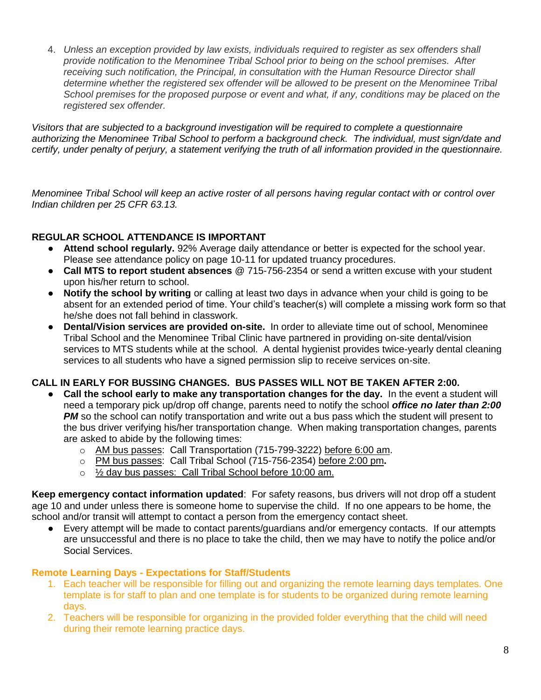4. *Unless an exception provided by law exists, individuals required to register as sex offenders shall provide notification to the Menominee Tribal School prior to being on the school premises. After receiving such notification, the Principal, in consultation with the Human Resource Director shall determine whether the registered sex offender will be allowed to be present on the Menominee Tribal School premises for the proposed purpose or event and what, if any, conditions may be placed on the registered sex offender.*

*Visitors that are subjected to a background investigation will be required to complete a questionnaire authorizing the Menominee Tribal School to perform a background check. The individual, must sign/date and certify, under penalty of perjury, a statement verifying the truth of all information provided in the questionnaire.* 

*Menominee Tribal School will keep an active roster of all persons having regular contact with or control over Indian children per 25 CFR 63.13.* 

# **REGULAR SCHOOL ATTENDANCE IS IMPORTANT**

- **Attend school regularly.** 92% Average daily attendance or better is expected for the school year. Please see attendance policy on page 10-11 for updated truancy procedures.
- **Call MTS to report student absences** @ 715-756-2354 or send a written excuse with your student upon his/her return to school.
- **Notify the school by writing** or calling at least two days in advance when your child is going to be absent for an extended period of time. Your child's teacher(s) will complete a missing work form so that he/she does not fall behind in classwork.
- **Dental/Vision services are provided on-site.** In order to alleviate time out of school, Menominee Tribal School and the Menominee Tribal Clinic have partnered in providing on-site dental/vision services to MTS students while at the school. A dental hygienist provides twice-yearly dental cleaning services to all students who have a signed permission slip to receive services on-site.

# **CALL IN EARLY FOR BUSSING CHANGES. BUS PASSES WILL NOT BE TAKEN AFTER 2:00.**

- **Call the school early to make any transportation changes for the day.** In the event a student will need a temporary pick up/drop off change, parents need to notify the school *office no later than 2:00*  **PM** so the school can notify transportation and write out a bus pass which the student will present to the bus driver verifying his/her transportation change. When making transportation changes, parents are asked to abide by the following times:
	- o AM bus passes: Call Transportation (715-799-3222) before 6:00 am.
	- o PM bus passes: Call Tribal School (715-756-2354) before 2:00 pm**.**
	- o ½ day bus passes: Call Tribal School before 10:00 am.

**Keep emergency contact information updated**: For safety reasons, bus drivers will not drop off a student age 10 and under unless there is someone home to supervise the child. If no one appears to be home, the school and/or transit will attempt to contact a person from the emergency contact sheet.

● Every attempt will be made to contact parents/guardians and/or emergency contacts. If our attempts are unsuccessful and there is no place to take the child, then we may have to notify the police and/or Social Services.

# **Remote Learning Days - Expectations for Staff/Students**

- 1. Each teacher will be responsible for filling out and organizing the remote learning days templates. One template is for staff to plan and one template is for students to be organized during remote learning days.
- 2. Teachers will be responsible for organizing in the provided folder everything that the child will need during their remote learning practice days.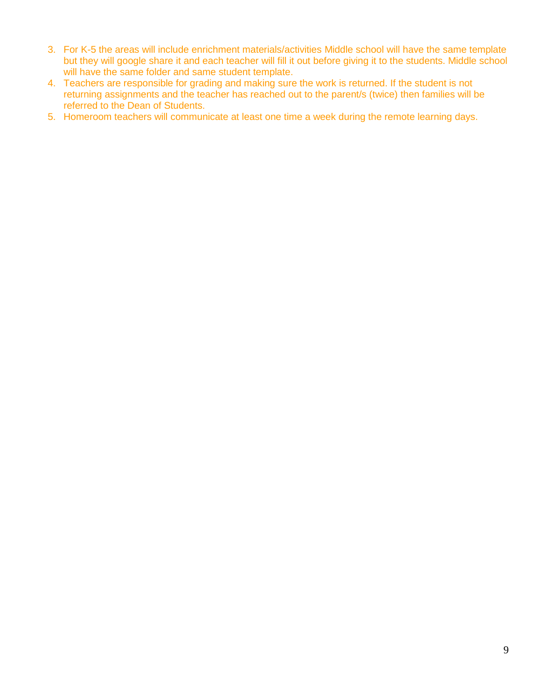- 3. For K-5 the areas will include enrichment materials/activities Middle school will have the same template but they will google share it and each teacher will fill it out before giving it to the students. Middle school will have the same folder and same student template.
- 4. Teachers are responsible for grading and making sure the work is returned. If the student is not returning assignments and the teacher has reached out to the parent/s (twice) then families will be referred to the Dean of Students.
- 5. Homeroom teachers will communicate at least one time a week during the remote learning days.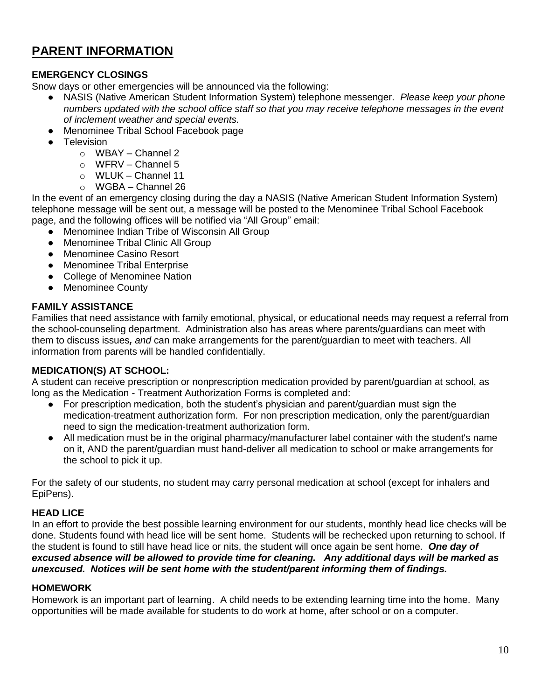# **PARENT INFORMATION**

# **EMERGENCY CLOSINGS**

Snow days or other emergencies will be announced via the following:

- NASIS (Native American Student Information System) telephone messenger. *Please keep your phone numbers updated with the school office staff so that you may receive telephone messages in the event of inclement weather and special events.*
- Menominee Tribal School Facebook page
- **Television** 
	- o WBAY Channel 2
	- o WFRV Channel 5
	- o WLUK Channel 11
	- $\circ$  WGBA Channel 26

In the event of an emergency closing during the day a NASIS (Native American Student Information System) telephone message will be sent out, a message will be posted to the Menominee Tribal School Facebook page, and the following offices will be notified via "All Group" email:

- Menominee Indian Tribe of Wisconsin All Group
- **Menominee Tribal Clinic All Group**
- Menominee Casino Resort
- Menominee Tribal Enterprise
- College of Menominee Nation
- Menominee County

# **FAMILY ASSISTANCE**

Families that need assistance with family emotional, physical, or educational needs may request a referral from the school-counseling department. Administration also has areas where parents/guardians can meet with them to discuss issues*, and* can make arrangements for the parent/guardian to meet with teachers. All information from parents will be handled confidentially.

# **MEDICATION(S) AT SCHOOL:**

A student can receive prescription or nonprescription medication provided by parent/guardian at school, as long as the Medication - Treatment Authorization Forms is completed and:

- For prescription medication, both the student's physician and parent/guardian must sign the medication-treatment authorization form. For non prescription medication, only the parent/guardian need to sign the medication-treatment authorization form.
- All medication must be in the original pharmacy/manufacturer label container with the student's name on it, AND the parent/guardian must hand-deliver all medication to school or make arrangements for the school to pick it up.

For the safety of our students, no student may carry personal medication at school (except for inhalers and EpiPens).

# **HEAD LICE**

In an effort to provide the best possible learning environment for our students, monthly head lice checks will be done. Students found with head lice will be sent home. Students will be rechecked upon returning to school. If the student is found to still have head lice or nits, the student will once again be sent home. *One day of excused absence will be allowed to provide time for cleaning. Any additional days will be marked as unexcused. Notices will be sent home with the student/parent informing them of findings.*

#### **HOMEWORK**

Homework is an important part of learning. A child needs to be extending learning time into the home. Many opportunities will be made available for students to do work at home, after school or on a computer.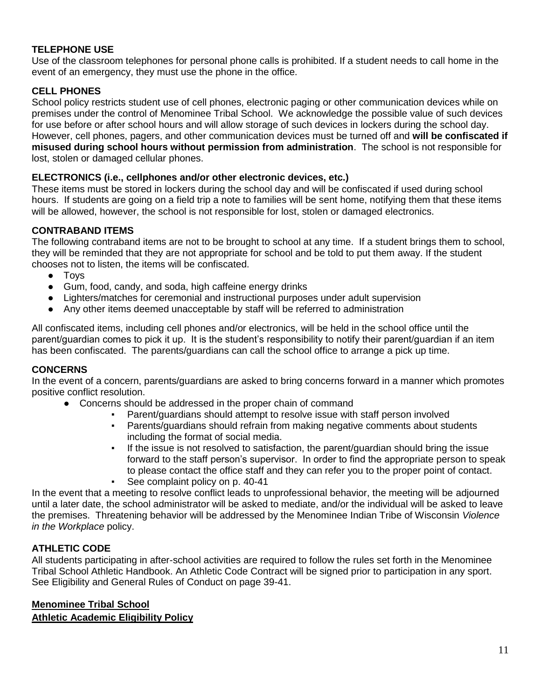### **TELEPHONE USE**

Use of the classroom telephones for personal phone calls is prohibited. If a student needs to call home in the event of an emergency, they must use the phone in the office.

#### **CELL PHONES**

School policy restricts student use of cell phones, electronic paging or other communication devices while on premises under the control of Menominee Tribal School. We acknowledge the possible value of such devices for use before or after school hours and will allow storage of such devices in lockers during the school day. However, cell phones, pagers, and other communication devices must be turned off and **will be confiscated if misused during school hours without permission from administration**. The school is not responsible for lost, stolen or damaged cellular phones.

#### **ELECTRONICS (i.e., cellphones and/or other electronic devices, etc.)**

These items must be stored in lockers during the school day and will be confiscated if used during school hours. If students are going on a field trip a note to families will be sent home, notifying them that these items will be allowed, however, the school is not responsible for lost, stolen or damaged electronics.

#### **CONTRABAND ITEMS**

The following contraband items are not to be brought to school at any time. If a student brings them to school, they will be reminded that they are not appropriate for school and be told to put them away. If the student chooses not to listen, the items will be confiscated.

- Toys
- Gum, food, candy, and soda, high caffeine energy drinks
- Lighters/matches for ceremonial and instructional purposes under adult supervision
- Any other items deemed unacceptable by staff will be referred to administration

All confiscated items, including cell phones and/or electronics, will be held in the school office until the parent/guardian comes to pick it up. It is the student's responsibility to notify their parent/guardian if an item has been confiscated. The parents/guardians can call the school office to arrange a pick up time.

#### **CONCERNS**

In the event of a concern, parents/guardians are asked to bring concerns forward in a manner which promotes positive conflict resolution.

- Concerns should be addressed in the proper chain of command
	- Parent/guardians should attempt to resolve issue with staff person involved
		- Parents/guardians should refrain from making negative comments about students including the format of social media.
		- If the issue is not resolved to satisfaction, the parent/guardian should bring the issue forward to the staff person's supervisor. In order to find the appropriate person to speak to please contact the office staff and they can refer you to the proper point of contact.
		- See complaint policy on p. 40-41

In the event that a meeting to resolve conflict leads to unprofessional behavior, the meeting will be adjourned until a later date, the school administrator will be asked to mediate, and/or the individual will be asked to leave the premises. Threatening behavior will be addressed by the Menominee Indian Tribe of Wisconsin *Violence in the Workplace* policy.

#### **ATHLETIC CODE**

All students participating in after-school activities are required to follow the rules set forth in the Menominee Tribal School Athletic Handbook. An Athletic Code Contract will be signed prior to participation in any sport. See Eligibility and General Rules of Conduct on page 39-41.

#### **Menominee Tribal School Athletic Academic Eligibility Policy**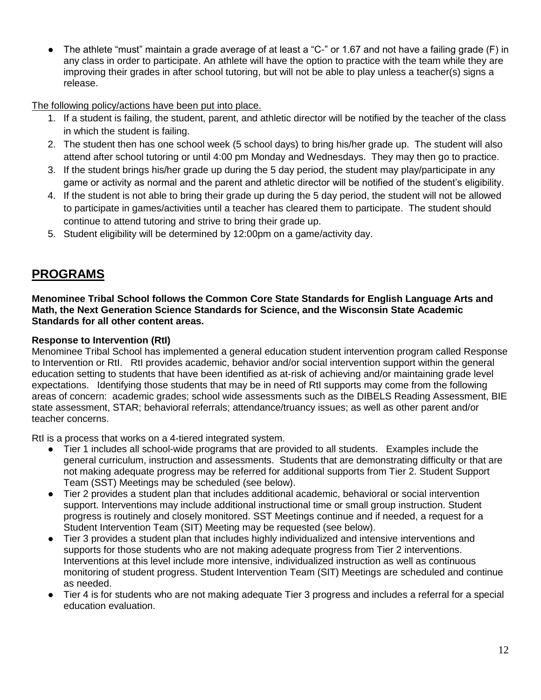The athlete "must" maintain a grade average of at least a "C-" or 1.67 and not have a failing grade (F) in any class in order to participate. An athlete will have the option to practice with the team while they are improving their grades in after school tutoring, but will not be able to play unless a teacher(s) signs a release.

The following policy/actions have been put into place.

- 1. If a student is failing, the student, parent, and athletic director will be notified by the teacher of the class in which the student is failing.
- 2. The student then has one school week (5 school days) to bring his/her grade up. The student will also attend after school tutoring or until 4:00 pm Monday and Wednesdays. They may then go to practice.
- 3. If the student brings his/her grade up during the 5 day period, the student may play/participate in any game or activity as normal and the parent and athletic director will be notified of the student's eligibility.
- 4. If the student is not able to bring their grade up during the 5 day period, the student will not be allowed to participate in games/activities until a teacher has cleared them to participate. The student should continue to attend tutoring and strive to bring their grade up.
- 5. Student eligibility will be determined by 12:00pm on a game/activity day.

# **PROGRAMS**

**Menominee Tribal School follows the Common Core State Standards for English Language Arts and Math, the Next Generation Science Standards for Science, and the Wisconsin State Academic Standards for all other content areas.**

# **Response to Intervention (RtI)**

Menominee Tribal School has implemented a general education student intervention program called Response to Intervention or RtI. RtI provides academic, behavior and/or social intervention support within the general education setting to students that have been identified as at-risk of achieving and/or maintaining grade level expectations. Identifying those students that may be in need of RtI supports may come from the following areas of concern: academic grades; school wide assessments such as the DIBELS Reading Assessment, BIE state assessment, STAR; behavioral referrals; attendance/truancy issues; as well as other parent and/or teacher concerns.

RtI is a process that works on a 4-tiered integrated system.

- Tier 1 includes all school-wide programs that are provided to all students. Examples include the general curriculum, instruction and assessments. Students that are demonstrating difficulty or that are not making adequate progress may be referred for additional supports from Tier 2. Student Support Team (SST) Meetings may be scheduled (see below).
- Tier 2 provides a student plan that includes additional academic, behavioral or social intervention support. Interventions may include additional instructional time or small group instruction. Student progress is routinely and closely monitored. SST Meetings continue and if needed, a request for a Student Intervention Team (SIT) Meeting may be requested (see below).
- Tier 3 provides a student plan that includes highly individualized and intensive interventions and supports for those students who are not making adequate progress from Tier 2 interventions. Interventions at this level include more intensive, individualized instruction as well as continuous monitoring of student progress. Student Intervention Team (SIT) Meetings are scheduled and continue as needed.
- Tier 4 is for students who are not making adequate Tier 3 progress and includes a referral for a special education evaluation.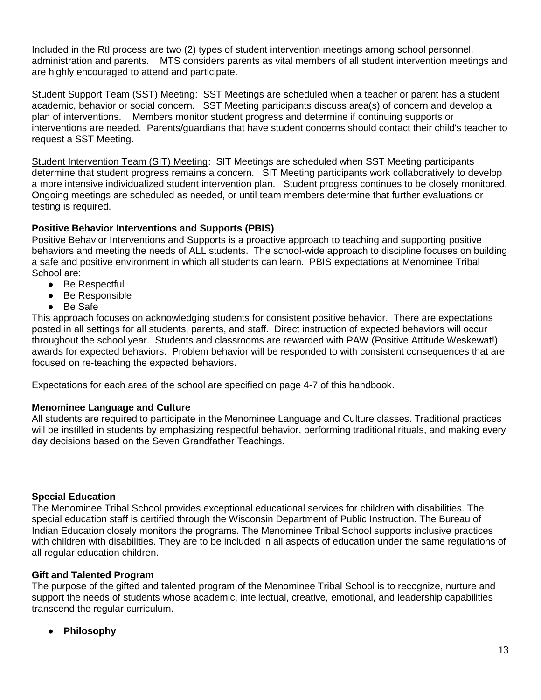Included in the RtI process are two (2) types of student intervention meetings among school personnel, administration and parents. MTS considers parents as vital members of all student intervention meetings and are highly encouraged to attend and participate.

Student Support Team (SST) Meeting: SST Meetings are scheduled when a teacher or parent has a student academic, behavior or social concern. SST Meeting participants discuss area(s) of concern and develop a plan of interventions. Members monitor student progress and determine if continuing supports or interventions are needed. Parents/guardians that have student concerns should contact their child's teacher to request a SST Meeting.

Student Intervention Team (SIT) Meeting: SIT Meetings are scheduled when SST Meeting participants determine that student progress remains a concern. SIT Meeting participants work collaboratively to develop a more intensive individualized student intervention plan. Student progress continues to be closely monitored. Ongoing meetings are scheduled as needed, or until team members determine that further evaluations or testing is required.

# **Positive Behavior Interventions and Supports (PBIS)**

Positive Behavior Interventions and Supports is a proactive approach to teaching and supporting positive behaviors and meeting the needs of ALL students. The school-wide approach to discipline focuses on building a safe and positive environment in which all students can learn. PBIS expectations at Menominee Tribal School are:

- Be Respectful
- Be Responsible
- Be Safe

This approach focuses on acknowledging students for consistent positive behavior. There are expectations posted in all settings for all students, parents, and staff. Direct instruction of expected behaviors will occur throughout the school year. Students and classrooms are rewarded with PAW (Positive Attitude Weskewat!) awards for expected behaviors. Problem behavior will be responded to with consistent consequences that are focused on re-teaching the expected behaviors.

Expectations for each area of the school are specified on page 4-7 of this handbook.

# **Menominee Language and Culture**

All students are required to participate in the Menominee Language and Culture classes. Traditional practices will be instilled in students by emphasizing respectful behavior, performing traditional rituals, and making every day decisions based on the Seven Grandfather Teachings.

# **Special Education**

The Menominee Tribal School provides exceptional educational services for children with disabilities. The special education staff is certified through the Wisconsin Department of Public Instruction. The Bureau of Indian Education closely monitors the programs. The Menominee Tribal School supports inclusive practices with children with disabilities. They are to be included in all aspects of education under the same regulations of all regular education children.

#### **Gift and Talented Program**

The purpose of the gifted and talented program of the Menominee Tribal School is to recognize, nurture and support the needs of students whose academic, intellectual, creative, emotional, and leadership capabilities transcend the regular curriculum.

**Philosophy**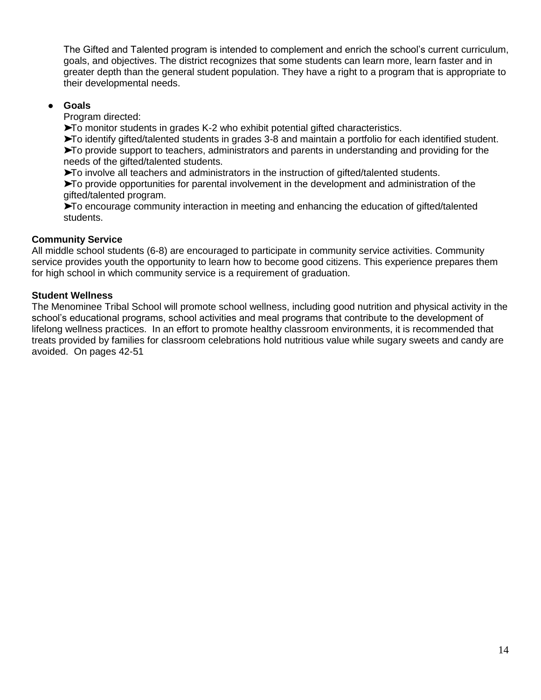The Gifted and Talented program is intended to complement and enrich the school's current curriculum, goals, and objectives. The district recognizes that some students can learn more, learn faster and in greater depth than the general student population. They have a right to a program that is appropriate to their developmental needs.

### ● **Goals**

Program directed:

➤To monitor students in grades K-2 who exhibit potential gifted characteristics.

➤To identify gifted/talented students in grades 3-8 and maintain a portfolio for each identified student. ➤To provide support to teachers, administrators and parents in understanding and providing for the needs of the gifted/talented students.

➤To involve all teachers and administrators in the instruction of gifted/talented students.

➤To provide opportunities for parental involvement in the development and administration of the gifted/talented program.

➤To encourage community interaction in meeting and enhancing the education of gifted/talented students.

#### **Community Service**

All middle school students (6-8) are encouraged to participate in community service activities. Community service provides youth the opportunity to learn how to become good citizens. This experience prepares them for high school in which community service is a requirement of graduation.

#### **Student Wellness**

The Menominee Tribal School will promote school wellness, including good nutrition and physical activity in the school's educational programs, school activities and meal programs that contribute to the development of lifelong wellness practices. In an effort to promote healthy classroom environments, it is recommended that treats provided by families for classroom celebrations hold nutritious value while sugary sweets and candy are avoided. On pages 42-51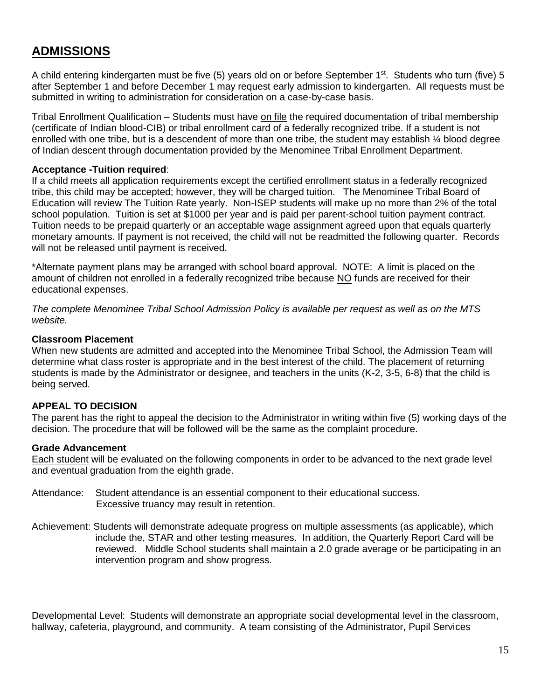# **ADMISSIONS**

A child entering kindergarten must be five (5) years old on or before September 1<sup>st</sup>. Students who turn (five) 5 after September 1 and before December 1 may request early admission to kindergarten. All requests must be submitted in writing to administration for consideration on a case-by-case basis.

Tribal Enrollment Qualification – Students must have on file the required documentation of tribal membership (certificate of Indian blood-CIB) or tribal enrollment card of a federally recognized tribe. If a student is not enrolled with one tribe, but is a descendent of more than one tribe, the student may establish ¼ blood degree of Indian descent through documentation provided by the Menominee Tribal Enrollment Department.

#### **Acceptance -Tuition required**:

If a child meets all application requirements except the certified enrollment status in a federally recognized tribe, this child may be accepted; however, they will be charged tuition. The Menominee Tribal Board of Education will review The Tuition Rate yearly. Non-ISEP students will make up no more than 2% of the total school population. Tuition is set at \$1000 per year and is paid per parent-school tuition payment contract. Tuition needs to be prepaid quarterly or an acceptable wage assignment agreed upon that equals quarterly monetary amounts. If payment is not received, the child will not be readmitted the following quarter. Records will not be released until payment is received.

\*Alternate payment plans may be arranged with school board approval. NOTE: A limit is placed on the amount of children not enrolled in a federally recognized tribe because NO funds are received for their educational expenses.

*The complete Menominee Tribal School Admission Policy is available per request as well as on the MTS website.* 

#### **Classroom Placement**

When new students are admitted and accepted into the Menominee Tribal School, the Admission Team will determine what class roster is appropriate and in the best interest of the child. The placement of returning students is made by the Administrator or designee, and teachers in the units (K-2, 3-5, 6-8) that the child is being served.

#### **APPEAL TO DECISION**

The parent has the right to appeal the decision to the Administrator in writing within five (5) working days of the decision. The procedure that will be followed will be the same as the complaint procedure.

#### **Grade Advancement**

Each student will be evaluated on the following components in order to be advanced to the next grade level and eventual graduation from the eighth grade.

- Attendance: Student attendance is an essential component to their educational success. Excessive truancy may result in retention.
- Achievement: Students will demonstrate adequate progress on multiple assessments (as applicable), which include the, STAR and other testing measures. In addition, the Quarterly Report Card will be reviewed. Middle School students shall maintain a 2.0 grade average or be participating in an intervention program and show progress.

Developmental Level: Students will demonstrate an appropriate social developmental level in the classroom, hallway, cafeteria, playground, and community. A team consisting of the Administrator, Pupil Services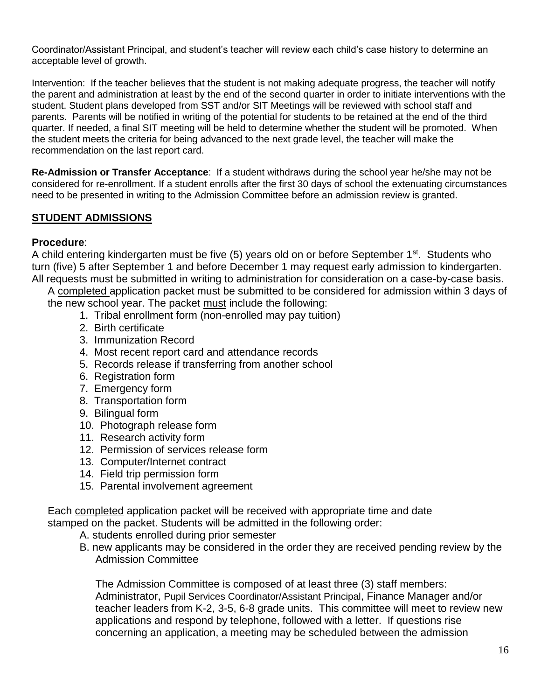Coordinator/Assistant Principal, and student's teacher will review each child's case history to determine an acceptable level of growth.

Intervention: If the teacher believes that the student is not making adequate progress, the teacher will notify the parent and administration at least by the end of the second quarter in order to initiate interventions with the student. Student plans developed from SST and/or SIT Meetings will be reviewed with school staff and parents. Parents will be notified in writing of the potential for students to be retained at the end of the third quarter. If needed, a final SIT meeting will be held to determine whether the student will be promoted. When the student meets the criteria for being advanced to the next grade level, the teacher will make the recommendation on the last report card.

**Re-Admission or Transfer Acceptance**: If a student withdraws during the school year he/she may not be considered for re-enrollment. If a student enrolls after the first 30 days of school the extenuating circumstances need to be presented in writing to the Admission Committee before an admission review is granted.

# **STUDENT ADMISSIONS**

#### **Procedure**:

A child entering kindergarten must be five (5) years old on or before September  $1<sup>st</sup>$ . Students who turn (five) 5 after September 1 and before December 1 may request early admission to kindergarten. All requests must be submitted in writing to administration for consideration on a case-by-case basis.

A completed application packet must be submitted to be considered for admission within 3 days of the new school year. The packet must include the following:

- 1. Tribal enrollment form (non-enrolled may pay tuition)
- 2. Birth certificate
- 3. Immunization Record
- 4. Most recent report card and attendance records
- 5. Records release if transferring from another school
- 6. Registration form
- 7. Emergency form
- 8. Transportation form
- 9. Bilingual form
- 10. Photograph release form
- 11. Research activity form
- 12. Permission of services release form
- 13. Computer/Internet contract
- 14. Field trip permission form
- 15. Parental involvement agreement

Each completed application packet will be received with appropriate time and date stamped on the packet. Students will be admitted in the following order:

- A. students enrolled during prior semester
- B. new applicants may be considered in the order they are received pending review by the Admission Committee

The Admission Committee is composed of at least three (3) staff members: Administrator, Pupil Services Coordinator/Assistant Principal, Finance Manager and/or teacher leaders from K-2, 3-5, 6-8 grade units. This committee will meet to review new applications and respond by telephone, followed with a letter. If questions rise concerning an application, a meeting may be scheduled between the admission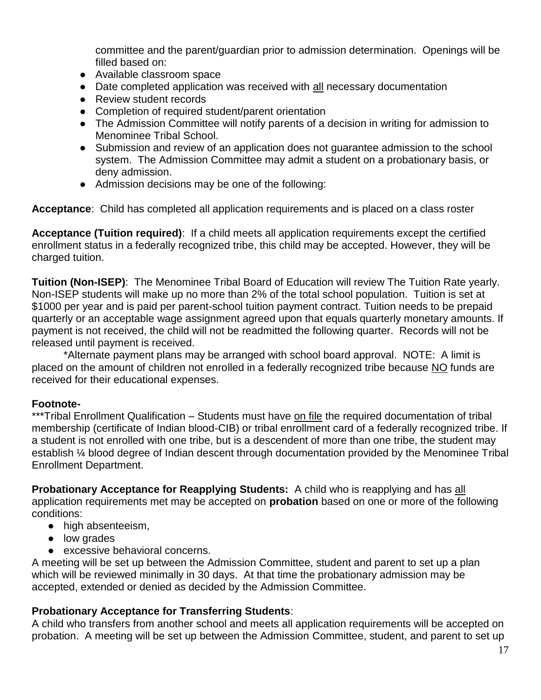committee and the parent/guardian prior to admission determination. Openings will be filled based on:

- Available classroom space
- Date completed application was received with all necessary documentation
- Review student records
- Completion of required student/parent orientation
- The Admission Committee will notify parents of a decision in writing for admission to Menominee Tribal School.
- Submission and review of an application does not guarantee admission to the school system. The Admission Committee may admit a student on a probationary basis, or deny admission.
- Admission decisions may be one of the following:

**Acceptance**: Child has completed all application requirements and is placed on a class roster

**Acceptance (Tuition required)**: If a child meets all application requirements except the certified enrollment status in a federally recognized tribe, this child may be accepted. However, they will be charged tuition.

**Tuition (Non-ISEP)**: The Menominee Tribal Board of Education will review The Tuition Rate yearly. Non-ISEP students will make up no more than 2% of the total school population. Tuition is set at \$1000 per year and is paid per parent-school tuition payment contract. Tuition needs to be prepaid quarterly or an acceptable wage assignment agreed upon that equals quarterly monetary amounts. If payment is not received, the child will not be readmitted the following quarter. Records will not be released until payment is received.

\*Alternate payment plans may be arranged with school board approval. NOTE: A limit is placed on the amount of children not enrolled in a federally recognized tribe because NO funds are received for their educational expenses.

# **Footnote-**

\*\*\*Tribal Enrollment Qualification – Students must have on file the required documentation of tribal membership (certificate of Indian blood-CIB) or tribal enrollment card of a federally recognized tribe. If a student is not enrolled with one tribe, but is a descendent of more than one tribe, the student may establish ¼ blood degree of Indian descent through documentation provided by the Menominee Tribal Enrollment Department.

**Probationary Acceptance for Reapplying Students:** A child who is reapplying and has all application requirements met may be accepted on **probation** based on one or more of the following conditions:

- high absenteeism.
- low grades
- excessive behavioral concerns.

A meeting will be set up between the Admission Committee, student and parent to set up a plan which will be reviewed minimally in 30 days. At that time the probationary admission may be accepted, extended or denied as decided by the Admission Committee.

# **Probationary Acceptance for Transferring Students**:

A child who transfers from another school and meets all application requirements will be accepted on probation. A meeting will be set up between the Admission Committee, student, and parent to set up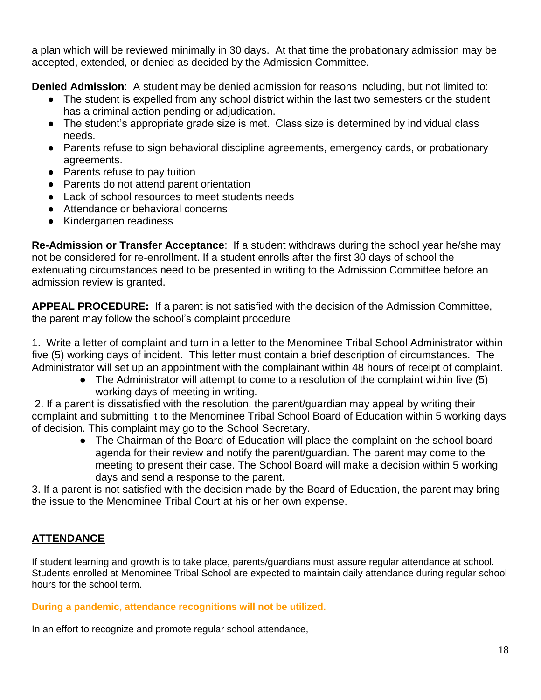a plan which will be reviewed minimally in 30 days. At that time the probationary admission may be accepted, extended, or denied as decided by the Admission Committee.

**Denied Admission**: A student may be denied admission for reasons including, but not limited to:

- The student is expelled from any school district within the last two semesters or the student has a criminal action pending or adjudication.
- The student's appropriate grade size is met. Class size is determined by individual class needs.
- Parents refuse to sign behavioral discipline agreements, emergency cards, or probationary agreements.
- Parents refuse to pay tuition
- Parents do not attend parent orientation
- Lack of school resources to meet students needs
- Attendance or behavioral concerns
- Kindergarten readiness

**Re-Admission or Transfer Acceptance**: If a student withdraws during the school year he/she may not be considered for re-enrollment. If a student enrolls after the first 30 days of school the extenuating circumstances need to be presented in writing to the Admission Committee before an admission review is granted.

**APPEAL PROCEDURE:** If a parent is not satisfied with the decision of the Admission Committee, the parent may follow the school's complaint procedure

1. Write a letter of complaint and turn in a letter to the Menominee Tribal School Administrator within five (5) working days of incident. This letter must contain a brief description of circumstances. The Administrator will set up an appointment with the complainant within 48 hours of receipt of complaint.

• The Administrator will attempt to come to a resolution of the complaint within five (5) working days of meeting in writing.

2. If a parent is dissatisfied with the resolution, the parent/guardian may appeal by writing their complaint and submitting it to the Menominee Tribal School Board of Education within 5 working days of decision. This complaint may go to the School Secretary.

• The Chairman of the Board of Education will place the complaint on the school board agenda for their review and notify the parent/guardian. The parent may come to the meeting to present their case. The School Board will make a decision within 5 working days and send a response to the parent.

3. If a parent is not satisfied with the decision made by the Board of Education, the parent may bring the issue to the Menominee Tribal Court at his or her own expense.

# **ATTENDANCE**

If student learning and growth is to take place, parents/guardians must assure regular attendance at school. Students enrolled at Menominee Tribal School are expected to maintain daily attendance during regular school hours for the school term.

# **During a pandemic, attendance recognitions will not be utilized.**

In an effort to recognize and promote regular school attendance,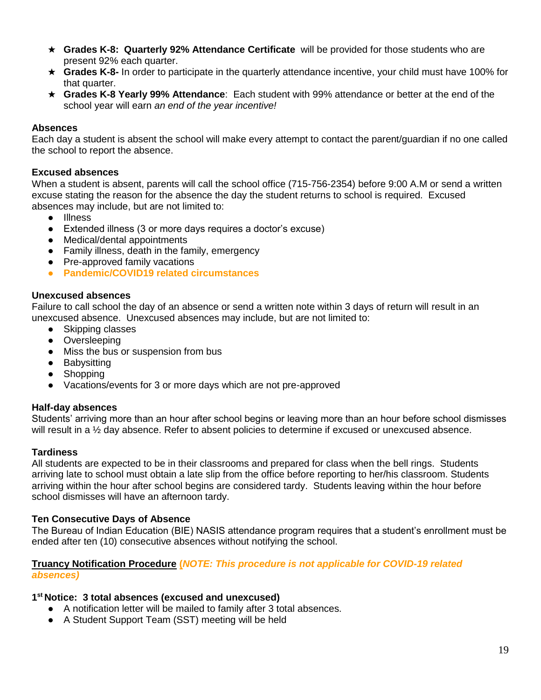- ★ **Grades K-8: Quarterly 92% Attendance Certificate** will be provided for those students who are present 92% each quarter.
- ★ **Grades K-8-** In order to participate in the quarterly attendance incentive, your child must have 100% for that quarter.
- ★ **Grades K-8 Yearly 99% Attendance**: Each student with 99% attendance or better at the end of the school year will earn *an end of the year incentive!*

#### **Absences**

Each day a student is absent the school will make every attempt to contact the parent/guardian if no one called the school to report the absence.

#### **Excused absences**

When a student is absent, parents will call the school office (715-756-2354) before 9:00 A.M or send a written excuse stating the reason for the absence the day the student returns to school is required. Excused absences may include, but are not limited to:

- Illness
- Extended illness (3 or more days requires a doctor's excuse)
- Medical/dental appointments
- Family illness, death in the family, emergency
- Pre-approved family vacations
- **Pandemic/COVID19 related circumstances**

#### **Unexcused absences**

Failure to call school the day of an absence or send a written note within 3 days of return will result in an unexcused absence. Unexcused absences may include, but are not limited to:

- Skipping classes
- Oversleeping
- Miss the bus or suspension from bus
- Babysitting
- Shopping
- Vacations/events for 3 or more days which are not pre-approved

#### **Half-day absences**

Students' arriving more than an hour after school begins or leaving more than an hour before school dismisses will result in a ½ day absence. Refer to absent policies to determine if excused or unexcused absence.

#### **Tardiness**

All students are expected to be in their classrooms and prepared for class when the bell rings. Students arriving late to school must obtain a late slip from the office before reporting to her/his classroom. Students arriving within the hour after school begins are considered tardy. Students leaving within the hour before school dismisses will have an afternoon tardy.

#### **Ten Consecutive Days of Absence**

The Bureau of Indian Education (BIE) NASIS attendance program requires that a student's enrollment must be ended after ten (10) consecutive absences without notifying the school.

#### **Truancy Notification Procedure (***NOTE: This procedure is not applicable for COVID-19 related absences)*

#### **1 st Notice: 3 total absences (excused and unexcused)**

- A notification letter will be mailed to family after 3 total absences.
- A Student Support Team (SST) meeting will be held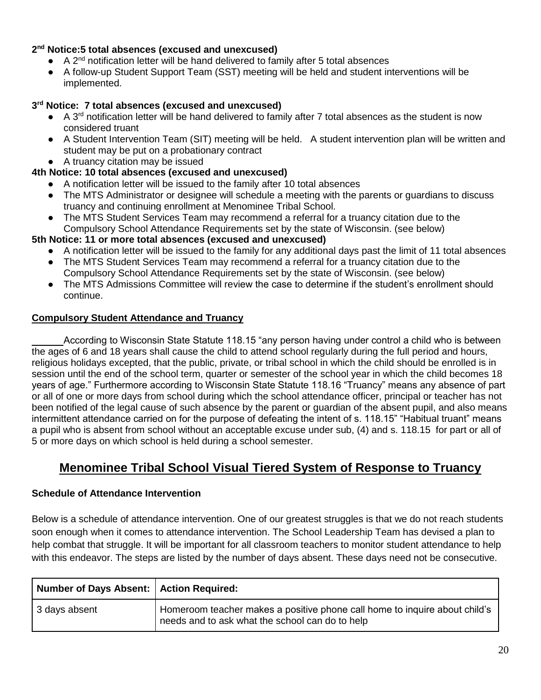### **2 nd Notice:5 total absences (excused and unexcused)**

- $\bullet$  A 2<sup>nd</sup> notification letter will be hand delivered to family after 5 total absences
- A follow-up Student Support Team (SST) meeting will be held and student interventions will be implemented.

### **3 rd Notice: 7 total absences (excused and unexcused)**

- A 3<sup>rd</sup> notification letter will be hand delivered to family after 7 total absences as the student is now considered truant
- A Student Intervention Team (SIT) meeting will be held. A student intervention plan will be written and student may be put on a probationary contract
- A truancy citation may be issued

#### **4th Notice: 10 total absences (excused and unexcused)**

- A notification letter will be issued to the family after 10 total absences
- The MTS Administrator or designee will schedule a meeting with the parents or quardians to discuss truancy and continuing enrollment at Menominee Tribal School.
- The MTS Student Services Team may recommend a referral for a truancy citation due to the Compulsory School Attendance Requirements set by the state of Wisconsin. (see below)

#### **5th Notice: 11 or more total absences (excused and unexcused)**

- A notification letter will be issued to the family for any additional days past the limit of 11 total absences
- The MTS Student Services Team may recommend a referral for a truancy citation due to the Compulsory School Attendance Requirements set by the state of Wisconsin. (see below)
- The MTS Admissions Committee will review the case to determine if the student's enrollment should continue.

#### **Compulsory Student Attendance and Truancy**

According to Wisconsin State Statute 118.15 "any person having under control a child who is between the ages of 6 and 18 years shall cause the child to attend school regularly during the full period and hours, religious holidays excepted, that the public, private, or tribal school in which the child should be enrolled is in session until the end of the school term, quarter or semester of the school year in which the child becomes 18 years of age." Furthermore according to Wisconsin State Statute 118.16 "Truancy" means any absence of part or all of one or more days from school during which the school attendance officer, principal or teacher has not been notified of the legal cause of such absence by the parent or guardian of the absent pupil, and also means intermittent attendance carried on for the purpose of defeating the intent of s. 118.15" "Habitual truant" means a pupil who is absent from school without an acceptable excuse under sub, (4) and s. 118.15 for part or all of 5 or more days on which school is held during a school semester.

# **Menominee Tribal School Visual Tiered System of Response to Truancy**

#### **Schedule of Attendance Intervention**

Below is a schedule of attendance intervention. One of our greatest struggles is that we do not reach students soon enough when it comes to attendance intervention. The School Leadership Team has devised a plan to help combat that struggle. It will be important for all classroom teachers to monitor student attendance to help with this endeavor. The steps are listed by the number of days absent. These days need not be consecutive.

| Number of Days Absent:   Action Required: |                                                                                                                               |
|-------------------------------------------|-------------------------------------------------------------------------------------------------------------------------------|
| 3 days absent                             | Homeroom teacher makes a positive phone call home to inquire about child's<br>needs and to ask what the school can do to help |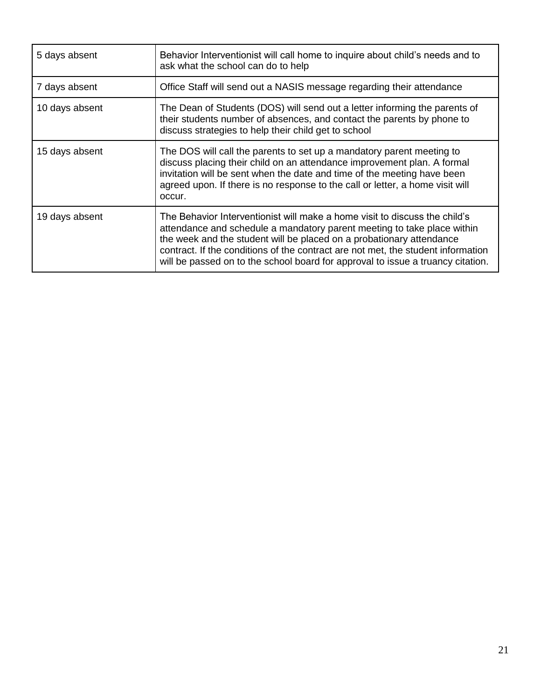| 5 days absent  | Behavior Interventionist will call home to inquire about child's needs and to<br>ask what the school can do to help                                                                                                                                                                                                                                                                                  |  |  |
|----------------|------------------------------------------------------------------------------------------------------------------------------------------------------------------------------------------------------------------------------------------------------------------------------------------------------------------------------------------------------------------------------------------------------|--|--|
| 7 days absent  | Office Staff will send out a NASIS message regarding their attendance                                                                                                                                                                                                                                                                                                                                |  |  |
| 10 days absent | The Dean of Students (DOS) will send out a letter informing the parents of<br>their students number of absences, and contact the parents by phone to<br>discuss strategies to help their child get to school                                                                                                                                                                                         |  |  |
| 15 days absent | The DOS will call the parents to set up a mandatory parent meeting to<br>discuss placing their child on an attendance improvement plan. A formal<br>invitation will be sent when the date and time of the meeting have been<br>agreed upon. If there is no response to the call or letter, a home visit will<br>occur.                                                                               |  |  |
| 19 days absent | The Behavior Interventionist will make a home visit to discuss the child's<br>attendance and schedule a mandatory parent meeting to take place within<br>the week and the student will be placed on a probationary attendance<br>contract. If the conditions of the contract are not met, the student information<br>will be passed on to the school board for approval to issue a truancy citation. |  |  |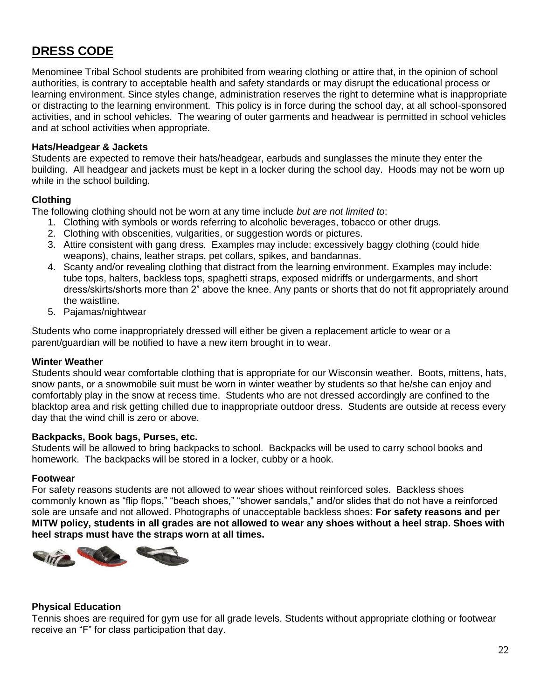# **DRESS CODE**

Menominee Tribal School students are prohibited from wearing clothing or attire that, in the opinion of school authorities, is contrary to acceptable health and safety standards or may disrupt the educational process or learning environment. Since styles change, administration reserves the right to determine what is inappropriate or distracting to the learning environment. This policy is in force during the school day, at all school-sponsored activities, and in school vehicles. The wearing of outer garments and headwear is permitted in school vehicles and at school activities when appropriate.

#### **Hats/Headgear & Jackets**

Students are expected to remove their hats/headgear, earbuds and sunglasses the minute they enter the building. All headgear and jackets must be kept in a locker during the school day. Hoods may not be worn up while in the school building.

#### **Clothing**

The following clothing should not be worn at any time include *but are not limited to*:

- 1. Clothing with symbols or words referring to alcoholic beverages, tobacco or other drugs.
- 2. Clothing with obscenities, vulgarities, or suggestion words or pictures.
- 3. Attire consistent with gang dress. Examples may include: excessively baggy clothing (could hide weapons), chains, leather straps, pet collars, spikes, and bandannas.
- 4. Scanty and/or revealing clothing that distract from the learning environment. Examples may include: tube tops, halters, backless tops, spaghetti straps, exposed midriffs or undergarments, and short dress/skirts/shorts more than 2" above the knee. Any pants or shorts that do not fit appropriately around the waistline.
- 5. Pajamas/nightwear

Students who come inappropriately dressed will either be given a replacement article to wear or a parent/guardian will be notified to have a new item brought in to wear.

#### **Winter Weather**

Students should wear comfortable clothing that is appropriate for our Wisconsin weather. Boots, mittens, hats, snow pants, or a snowmobile suit must be worn in winter weather by students so that he/she can enjoy and comfortably play in the snow at recess time. Students who are not dressed accordingly are confined to the blacktop area and risk getting chilled due to inappropriate outdoor dress. Students are outside at recess every day that the wind chill is zero or above.

#### **Backpacks, Book bags, Purses, etc.**

Students will be allowed to bring backpacks to school. Backpacks will be used to carry school books and homework. The backpacks will be stored in a locker, cubby or a hook.

#### **Footwear**

For safety reasons students are not allowed to wear shoes without reinforced soles. Backless shoes commonly known as "flip flops," "beach shoes," "shower sandals," and/or slides that do not have a reinforced sole are unsafe and not allowed. Photographs of unacceptable backless shoes: **For safety reasons and per MITW policy, students in all grades are not allowed to wear any shoes without a heel strap. Shoes with heel straps must have the straps worn at all times.**



#### **Physical Education**

Tennis shoes are required for gym use for all grade levels. Students without appropriate clothing or footwear receive an "F" for class participation that day.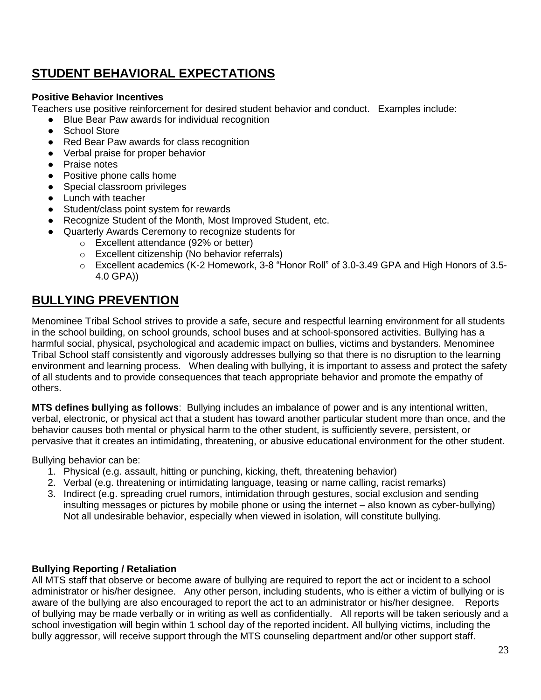# **STUDENT BEHAVIORAL EXPECTATIONS**

# **Positive Behavior Incentives**

Teachers use positive reinforcement for desired student behavior and conduct. Examples include:

- Blue Bear Paw awards for individual recognition
- **School Store**
- Red Bear Paw awards for class recognition
- Verbal praise for proper behavior
- Praise notes
- Positive phone calls home
- Special classroom privileges
- Lunch with teacher
- Student/class point system for rewards
- Recognize Student of the Month, Most Improved Student, etc.
- Quarterly Awards Ceremony to recognize students for
	- o Excellent attendance (92% or better)
	- o Excellent citizenship (No behavior referrals)
	- o Excellent academics (K-2 Homework, 3-8 "Honor Roll" of 3.0-3.49 GPA and High Honors of 3.5- 4.0 GPA))

# **BULLYING PREVENTION**

Menominee Tribal School strives to provide a safe, secure and respectful learning environment for all students in the school building, on school grounds, school buses and at school-sponsored activities. Bullying has a harmful social, physical, psychological and academic impact on bullies, victims and bystanders. Menominee Tribal School staff consistently and vigorously addresses bullying so that there is no disruption to the learning environment and learning process. When dealing with bullying, it is important to assess and protect the safety of all students and to provide consequences that teach appropriate behavior and promote the empathy of others.

**MTS defines bullying as follows**: Bullying includes an imbalance of power and is any intentional written, verbal, electronic, or physical act that a student has toward another particular student more than once, and the behavior causes both mental or physical harm to the other student, is sufficiently severe, persistent, or pervasive that it creates an intimidating, threatening, or abusive educational environment for the other student.

Bullying behavior can be:

- 1. Physical (e.g. assault, hitting or punching, kicking, theft, threatening behavior)
- 2. Verbal (e.g. threatening or intimidating language, teasing or name calling, racist remarks)
- 3. Indirect (e.g. spreading cruel rumors, intimidation through gestures, social exclusion and sending insulting messages or pictures by mobile phone or using the internet – also known as cyber-bullying) Not all undesirable behavior, especially when viewed in isolation, will constitute bullying.

# **Bullying Reporting / Retaliation**

All MTS staff that observe or become aware of bullying are required to report the act or incident to a school administrator or his/her designee. Any other person, including students, who is either a victim of bullying or is aware of the bullying are also encouraged to report the act to an administrator or his/her designee. Reports of bullying may be made verbally or in writing as well as confidentially. All reports will be taken seriously and a school investigation will begin within 1 school day of the reported incident**.** All bullying victims, including the bully aggressor, will receive support through the MTS counseling department and/or other support staff.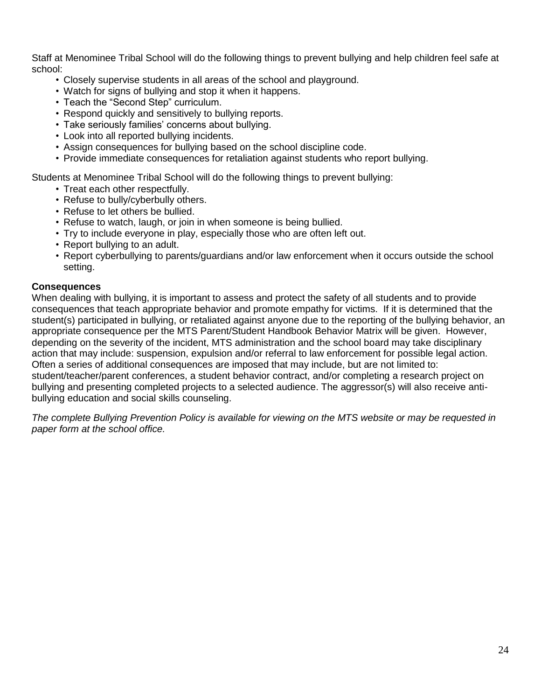Staff at Menominee Tribal School will do the following things to prevent bullying and help children feel safe at school:

- Closely supervise students in all areas of the school and playground.
- Watch for signs of bullying and stop it when it happens.
- Teach the "Second Step" curriculum.
- Respond quickly and sensitively to bullying reports.
- Take seriously families' concerns about bullying.
- Look into all reported bullying incidents.
- Assign consequences for bullying based on the school discipline code.
- Provide immediate consequences for retaliation against students who report bullying.

Students at Menominee Tribal School will do the following things to prevent bullying:

- Treat each other respectfully.
- Refuse to bully/cyberbully others.
- Refuse to let others be bullied.
- Refuse to watch, laugh, or join in when someone is being bullied.
- Try to include everyone in play, especially those who are often left out.
- Report bullying to an adult.
- Report cyberbullying to parents/guardians and/or law enforcement when it occurs outside the school setting.

#### **Consequences**

When dealing with bullying, it is important to assess and protect the safety of all students and to provide consequences that teach appropriate behavior and promote empathy for victims. If it is determined that the student(s) participated in bullying, or retaliated against anyone due to the reporting of the bullying behavior, an appropriate consequence per the MTS Parent/Student Handbook Behavior Matrix will be given. However, depending on the severity of the incident, MTS administration and the school board may take disciplinary action that may include: suspension, expulsion and/or referral to law enforcement for possible legal action. Often a series of additional consequences are imposed that may include, but are not limited to: student/teacher/parent conferences, a student behavior contract, and/or completing a research project on bullying and presenting completed projects to a selected audience. The aggressor(s) will also receive antibullying education and social skills counseling.

*The complete Bullying Prevention Policy is available for viewing on the MTS website or may be requested in paper form at the school office.*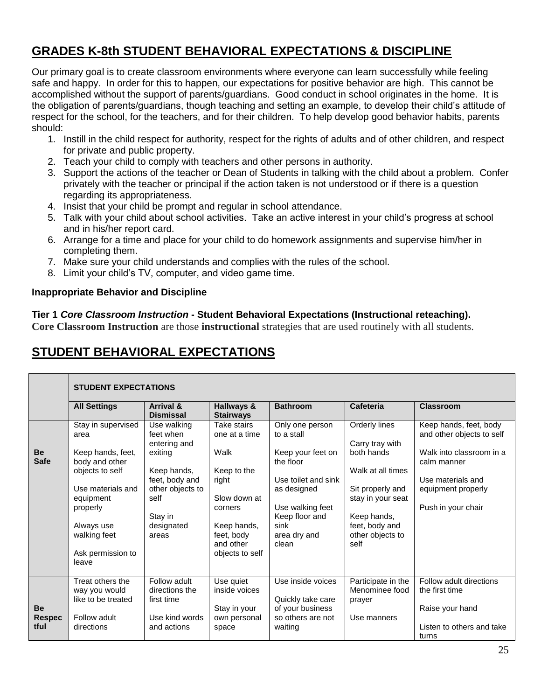# **GRADES K-8th STUDENT BEHAVIORAL EXPECTATIONS & DISCIPLINE**

Our primary goal is to create classroom environments where everyone can learn successfully while feeling safe and happy. In order for this to happen, our expectations for positive behavior are high. This cannot be accomplished without the support of parents/guardians. Good conduct in school originates in the home. It is the obligation of parents/guardians, though teaching and setting an example, to develop their child's attitude of respect for the school, for the teachers, and for their children. To help develop good behavior habits, parents should:

- 1. Instill in the child respect for authority, respect for the rights of adults and of other children, and respect for private and public property.
- 2. Teach your child to comply with teachers and other persons in authority.
- 3. Support the actions of the teacher or Dean of Students in talking with the child about a problem. Confer privately with the teacher or principal if the action taken is not understood or if there is a question regarding its appropriateness.
- 4. Insist that your child be prompt and regular in school attendance.
- 5. Talk with your child about school activities. Take an active interest in your child's progress at school and in his/her report card.
- 6. Arrange for a time and place for your child to do homework assignments and supervise him/her in completing them.
- 7. Make sure your child understands and complies with the rules of the school.
- 8. Limit your child's TV, computer, and video game time.

#### **Inappropriate Behavior and Discipline**

#### **Tier 1** *Core Classroom Instruction* **- Student Behavioral Expectations (Instructional reteaching).**

**Core Classroom Instruction** are those **instructional** strategies that are used routinely with all students.

# **STUDENT BEHAVIORAL EXPECTATIONS**

|                                    | <b>STUDENT EXPECTATIONS</b>                                                                                                                                      |                                                                                                        |                                                                                                                      |                                                                                                                                             |                                                                                                                                       |                                                                                                          |  |
|------------------------------------|------------------------------------------------------------------------------------------------------------------------------------------------------------------|--------------------------------------------------------------------------------------------------------|----------------------------------------------------------------------------------------------------------------------|---------------------------------------------------------------------------------------------------------------------------------------------|---------------------------------------------------------------------------------------------------------------------------------------|----------------------------------------------------------------------------------------------------------|--|
|                                    | <b>All Settings</b>                                                                                                                                              | <b>Arrival &amp;</b><br><b>Dismissal</b>                                                               | Hallways &<br><b>Stairways</b>                                                                                       | <b>Bathroom</b>                                                                                                                             | Cafeteria                                                                                                                             | <b>Classroom</b>                                                                                         |  |
|                                    | Stay in supervised<br>area                                                                                                                                       | Use walking<br>feet when<br>entering and                                                               | Take stairs<br>one at a time                                                                                         | Only one person<br>to a stall                                                                                                               | Orderly lines<br>Carry tray with                                                                                                      | Keep hands, feet, body<br>and other objects to self                                                      |  |
| <b>Be</b><br><b>Safe</b>           | Keep hands, feet,<br>body and other<br>objects to self<br>Use materials and<br>equipment<br>properly<br>Always use<br>walking feet<br>Ask permission to<br>leave | exiting<br>Keep hands,<br>feet, body and<br>other objects to<br>self<br>Stay in<br>designated<br>areas | Walk<br>Keep to the<br>right<br>Slow down at<br>corners<br>Keep hands,<br>feet, body<br>and other<br>objects to self | Keep your feet on<br>the floor<br>Use toilet and sink<br>as designed<br>Use walking feet<br>Keep floor and<br>sink<br>area dry and<br>clean | both hands<br>Walk at all times<br>Sit properly and<br>stay in your seat<br>Keep hands,<br>feet, body and<br>other objects to<br>self | Walk into classroom in a<br>calm manner<br>Use materials and<br>equipment properly<br>Push in your chair |  |
| <b>Be</b><br><b>Respec</b><br>tful | Treat others the<br>way you would<br>like to be treated<br>Follow adult<br>directions                                                                            | Follow adult<br>directions the<br>first time<br>Use kind words<br>and actions                          | Use quiet<br>inside voices<br>Stay in your<br>own personal<br>space                                                  | Use inside voices<br>Quickly take care<br>of your business<br>so others are not<br>waiting                                                  | Participate in the<br>Menominee food<br>prayer<br>Use manners                                                                         | Follow adult directions<br>the first time<br>Raise your hand<br>Listen to others and take<br>turns       |  |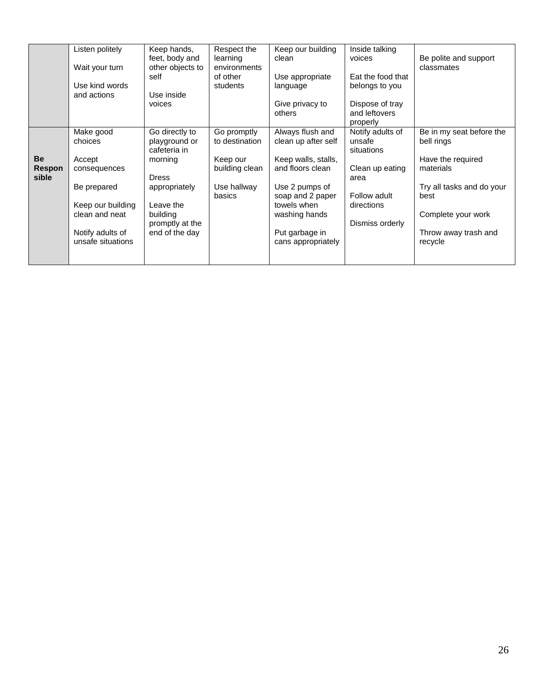|                              | Listen politely<br>Wait your turn<br>Use kind words<br>and actions                                                                            | Keep hands,<br>feet, body and<br>other objects to<br>self<br>Use inside<br>voices                                                                         | Respect the<br>learning<br>environments<br>of other<br>students                      | Keep our building<br>clean<br>Use appropriate<br>language<br>Give privacy to<br>others                                                                                                           | Inside talking<br>voices<br>Eat the food that<br>belongs to you<br>Dispose of tray<br>and leftovers<br>properly      | Be polite and support<br>classmates                                                                                                                                    |
|------------------------------|-----------------------------------------------------------------------------------------------------------------------------------------------|-----------------------------------------------------------------------------------------------------------------------------------------------------------|--------------------------------------------------------------------------------------|--------------------------------------------------------------------------------------------------------------------------------------------------------------------------------------------------|----------------------------------------------------------------------------------------------------------------------|------------------------------------------------------------------------------------------------------------------------------------------------------------------------|
| <b>Be</b><br>Respon<br>sible | Make good<br>choices<br>Accept<br>consequences<br>Be prepared<br>Keep our building<br>clean and neat<br>Notify adults of<br>unsafe situations | Go directly to<br>playground or<br>cafeteria in<br>morning<br><b>Dress</b><br>appropriately<br>Leave the<br>building<br>promptly at the<br>end of the day | Go promptly<br>to destination<br>Keep our<br>building clean<br>Use hallway<br>basics | Always flush and<br>clean up after self<br>Keep walls, stalls,<br>and floors clean<br>Use 2 pumps of<br>soap and 2 paper<br>towels when<br>washing hands<br>Put garbage in<br>cans appropriately | Notify adults of<br>unsafe<br>situations<br>Clean up eating<br>area<br>Follow adult<br>directions<br>Dismiss orderly | Be in my seat before the<br>bell rings<br>Have the required<br>materials<br>Try all tasks and do your<br>best<br>Complete your work<br>Throw away trash and<br>recycle |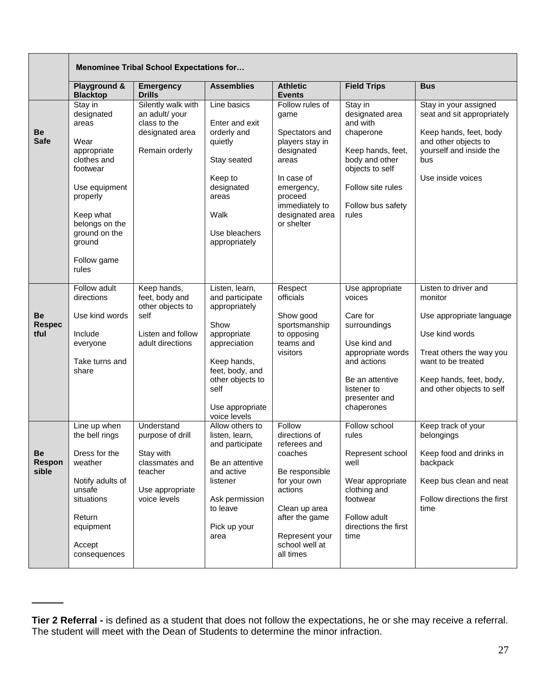|                                     | <b>Menominee Tribal School Expectations for</b>                                                                                                                                                 |                                                                                                             |                                                                                                                                                                                            |                                                                                                                                                                                     |                                                                                                                                                                            |                                                                                                                                                                                         |
|-------------------------------------|-------------------------------------------------------------------------------------------------------------------------------------------------------------------------------------------------|-------------------------------------------------------------------------------------------------------------|--------------------------------------------------------------------------------------------------------------------------------------------------------------------------------------------|-------------------------------------------------------------------------------------------------------------------------------------------------------------------------------------|----------------------------------------------------------------------------------------------------------------------------------------------------------------------------|-----------------------------------------------------------------------------------------------------------------------------------------------------------------------------------------|
|                                     | Playground &<br><b>Blacktop</b>                                                                                                                                                                 | <b>Emergency</b><br><b>Drills</b>                                                                           | <b>Assemblies</b>                                                                                                                                                                          | <b>Athletic</b><br><b>Events</b>                                                                                                                                                    | <b>Field Trips</b>                                                                                                                                                         | <b>Bus</b>                                                                                                                                                                              |
| <b>Be</b><br><b>Safe</b>            | Stay in<br>designated<br>areas<br>Wear<br>appropriate<br>clothes and<br>footwear<br>Use equipment<br>properly<br>Keep what<br>belongs on the<br>ground on the<br>ground<br>Follow game<br>rules | Silently walk with<br>an adult/ your<br>class to the<br>designated area<br>Remain orderly                   | Line basics<br>Enter and exit<br>orderly and<br>quietly<br>Stay seated<br>Keep to<br>designated<br>areas<br>Walk<br>Use bleachers<br>appropriately                                         | Follow rules of<br>game<br>Spectators and<br>players stay in<br>designated<br>areas<br>In case of<br>emergency,<br>proceed<br>immediately to<br>designated area<br>or shelter       | Stay in<br>designated area<br>and with<br>chaperone<br>Keep hands, feet,<br>body and other<br>objects to self<br>Follow site rules<br>Follow bus safety<br>rules           | Stay in your assigned<br>seat and sit appropriately<br>Keep hands, feet, body<br>and other objects to<br>vourself and inside the<br>bus<br>Use inside voices                            |
| <b>Be</b><br><b>Respec</b><br>tful  | Follow adult<br>directions<br>Use kind words<br>Include<br>everyone<br>Take turns and<br>share                                                                                                  | Keep hands,<br>feet, body and<br>other objects to<br>self<br>Listen and follow<br>adult directions          | Listen, learn,<br>and participate<br>appropriately<br>Show<br>appropriate<br>appreciation<br>Keep hands,<br>feet, body, and<br>other objects to<br>self<br>Use appropriate<br>voice levels | Respect<br>officials<br>Show good<br>sportsmanship<br>to opposing<br>teams and<br>visitors                                                                                          | Use appropriate<br>voices<br>Care for<br>surroundings<br>Use kind and<br>appropriate words<br>and actions<br>Be an attentive<br>listener to<br>presenter and<br>chaperones | Listen to driver and<br>monitor<br>Use appropriate language<br>Use kind words<br>Treat others the way you<br>want to be treated<br>Keep hands, feet, body,<br>and other objects to self |
| <b>Be</b><br><b>Respon</b><br>sible | Line up when<br>the bell rings<br>Dress for the<br>weather<br>Notify adults of<br>unsafe<br>situations<br>Return<br>equipment<br>Accept<br>consequences                                         | Understand<br>purpose of drill<br>Stay with<br>classmates and<br>teacher<br>Use appropriate<br>voice levels | Allow others to<br>listen, learn,<br>and participate<br>Be an attentive<br>and active<br>listener<br>Ask permission<br>to leave<br>Pick up your<br>area                                    | Follow<br>directions of<br>referees and<br>coaches<br>Be responsible<br>for your own<br>actions<br>Clean up area<br>after the game<br>Represent your<br>school well at<br>all times | Follow school<br>rules<br>Represent school<br>well<br>Wear appropriate<br>clothing and<br>footwear<br>Follow adult<br>directions the first<br>time                         | Keep track of your<br>belongings<br>Keep food and drinks in<br>backpack<br>Keep bus clean and neat<br>Follow directions the first<br>time                                               |

**Tier 2 Referral -** is defined as a student that does not follow the expectations, he or she may receive a referral. The student will meet with the Dean of Students to determine the minor infraction.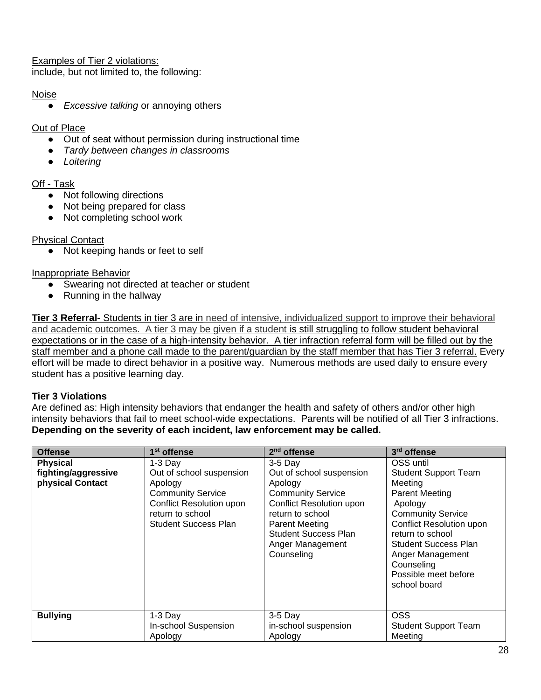Examples of Tier 2 violations: include, but not limited to, the following:

# Noise

● *Excessive talking* or annoying others

### Out of Place

- Out of seat without permission during instructional time
- *Tardy between changes in classrooms*
- *Loitering*

# Off - Task

- Not following directions
- Not being prepared for class
- Not completing school work

# Physical Contact

● Not keeping hands or feet to self

# Inappropriate Behavior

- Swearing not directed at teacher or student
- Running in the hallway

**Tier 3 Referral-** Students in tier 3 are in need of intensive, individualized support to improve their behavioral and academic outcomes. A tier 3 may be given if a student is still struggling to follow student behavioral expectations or in the case of a high-intensity behavior. A tier infraction referral form will be filled out by the staff member and a phone call made to the parent/guardian by the staff member that has Tier 3 referral. Every effort will be made to direct behavior in a positive way. Numerous methods are used daily to ensure every student has a positive learning day.

# **Tier 3 Violations**

Are defined as: High intensity behaviors that endanger the health and safety of others and/or other high intensity behaviors that fail to meet school-wide expectations. Parents will be notified of all Tier 3 infractions. **Depending on the severity of each incident, law enforcement may be called.** 

| <b>Offense</b>                                             | 1 <sup>st</sup> offense                                                                                                                                            | $2nd$ offense                                                                                                                                                                                                                 | 3rd offense                                                                                                                                                                                                                                                                         |
|------------------------------------------------------------|--------------------------------------------------------------------------------------------------------------------------------------------------------------------|-------------------------------------------------------------------------------------------------------------------------------------------------------------------------------------------------------------------------------|-------------------------------------------------------------------------------------------------------------------------------------------------------------------------------------------------------------------------------------------------------------------------------------|
| <b>Physical</b><br>fighting/aggressive<br>physical Contact | $1-3$ Day<br>Out of school suspension<br>Apology<br><b>Community Service</b><br><b>Conflict Resolution upon</b><br>return to school<br><b>Student Success Plan</b> | $3-5$ Day<br>Out of school suspension<br>Apology<br><b>Community Service</b><br><b>Conflict Resolution upon</b><br>return to school<br><b>Parent Meeting</b><br><b>Student Success Plan</b><br>Anger Management<br>Counseling | OSS until<br><b>Student Support Team</b><br>Meeting<br><b>Parent Meeting</b><br>Apology<br><b>Community Service</b><br><b>Conflict Resolution upon</b><br>return to school<br><b>Student Success Plan</b><br>Anger Management<br>Counseling<br>Possible meet before<br>school board |
| <b>Bullying</b>                                            | $1-3$ Day<br>In-school Suspension<br>Apology                                                                                                                       | $3-5$ Day<br>in-school suspension<br>Apology                                                                                                                                                                                  | <b>OSS</b><br><b>Student Support Team</b><br>Meeting                                                                                                                                                                                                                                |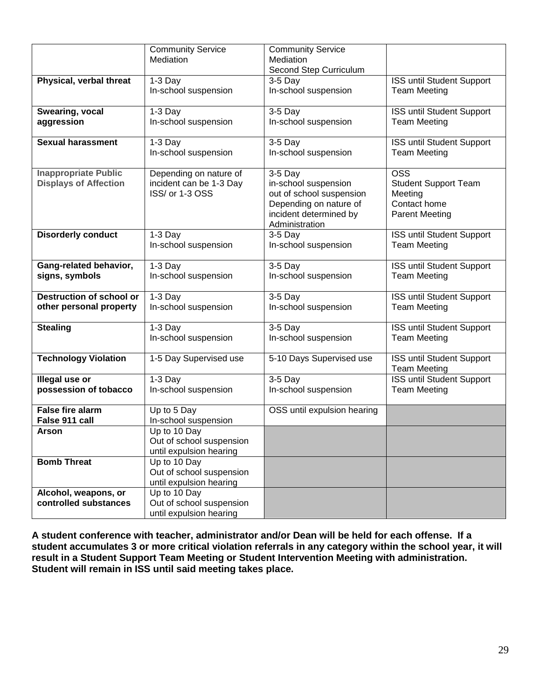|                                 | <b>Community Service</b> | <b>Community Service</b>    |                                  |
|---------------------------------|--------------------------|-----------------------------|----------------------------------|
|                                 | Mediation                | Mediation                   |                                  |
|                                 |                          | Second Step Curriculum      |                                  |
| Physical, verbal threat         | $1-3$ Day                | $3-5$ Day                   | ISS until Student Support        |
|                                 | In-school suspension     | In-school suspension        | <b>Team Meeting</b>              |
|                                 |                          |                             |                                  |
| Swearing, vocal                 | $1-3$ Day                | $3-5$ Day                   | ISS until Student Support        |
| aggression                      | In-school suspension     | In-school suspension        | <b>Team Meeting</b>              |
|                                 |                          |                             |                                  |
| <b>Sexual harassment</b>        |                          |                             |                                  |
|                                 | $1-3$ Day                | $3-5$ Day                   | ISS until Student Support        |
|                                 | In-school suspension     | In-school suspension        | <b>Team Meeting</b>              |
|                                 |                          |                             |                                  |
| <b>Inappropriate Public</b>     | Depending on nature of   | $3-5$ Day                   | <b>OSS</b>                       |
| <b>Displays of Affection</b>    | incident can be 1-3 Day  | in-school suspension        | <b>Student Support Team</b>      |
|                                 | ISS/ or 1-3 OSS          | out of school suspension    | Meeting                          |
|                                 |                          | Depending on nature of      | Contact home                     |
|                                 |                          | incident determined by      | <b>Parent Meeting</b>            |
|                                 |                          | Administration              |                                  |
| <b>Disorderly conduct</b>       | $1-3$ Day                | $3-5$ Day                   | <b>ISS until Student Support</b> |
|                                 | In-school suspension     | In-school suspension        | <b>Team Meeting</b>              |
|                                 |                          |                             |                                  |
| Gang-related behavior,          | $1-3$ Day                | $3-5$ Day                   | ISS until Student Support        |
| signs, symbols                  | In-school suspension     | In-school suspension        | <b>Team Meeting</b>              |
|                                 |                          |                             |                                  |
| <b>Destruction of school or</b> | $1-3$ Day                | $3-5$ Day                   | ISS until Student Support        |
| other personal property         | In-school suspension     | In-school suspension        | <b>Team Meeting</b>              |
|                                 |                          |                             |                                  |
| <b>Stealing</b>                 | $1-3$ Day                | $3-5$ Day                   | ISS until Student Support        |
|                                 | In-school suspension     | In-school suspension        | <b>Team Meeting</b>              |
|                                 |                          |                             |                                  |
| <b>Technology Violation</b>     | 1-5 Day Supervised use   | 5-10 Days Supervised use    | ISS until Student Support        |
|                                 |                          |                             | <b>Team Meeting</b>              |
| Illegal use or                  | $1-3$ Day                | 3-5 Day                     | ISS until Student Support        |
| possession of tobacco           | In-school suspension     | In-school suspension        | <b>Team Meeting</b>              |
|                                 |                          |                             |                                  |
| <b>False fire alarm</b>         | Up to 5 Day              | OSS until expulsion hearing |                                  |
| False 911 call                  |                          |                             |                                  |
|                                 | In-school suspension     |                             |                                  |
| Arson                           | Up to 10 Day             |                             |                                  |
|                                 | Out of school suspension |                             |                                  |
|                                 | until expulsion hearing  |                             |                                  |
| <b>Bomb Threat</b>              | Up to 10 Day             |                             |                                  |
|                                 | Out of school suspension |                             |                                  |
|                                 | until expulsion hearing  |                             |                                  |
| Alcohol, weapons, or            | Up to 10 Day             |                             |                                  |
| controlled substances           | Out of school suspension |                             |                                  |
|                                 | until expulsion hearing  |                             |                                  |

**A student conference with teacher, administrator and/or Dean will be held for each offense. If a student accumulates 3 or more critical violation referrals in any category within the school year, it will result in a Student Support Team Meeting or Student Intervention Meeting with administration. Student will remain in ISS until said meeting takes place.**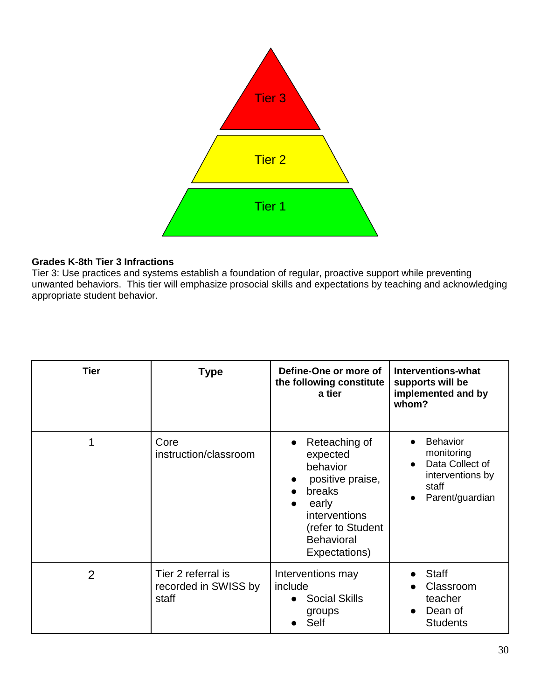

# **Grades K-8th Tier 3 Infractions**

Tier 3: Use practices and systems establish a foundation of regular, proactive support while preventing unwanted behaviors. This tier will emphasize prosocial skills and expectations by teaching and acknowledging appropriate student behavior.

| <b>Tier</b> | <b>Type</b>                                         | Define-One or more of<br>the following constitute<br>a tier                                                                                                     | <b>Interventions-what</b><br>supports will be<br>implemented and by<br>whom?                                  |
|-------------|-----------------------------------------------------|-----------------------------------------------------------------------------------------------------------------------------------------------------------------|---------------------------------------------------------------------------------------------------------------|
|             | Core<br>instruction/classroom                       | Reteaching of<br>expected<br>behavior<br>positive praise,<br>breaks<br>early<br><i>interventions</i><br>(refer to Student<br><b>Behavioral</b><br>Expectations) | <b>Behavior</b><br>monitoring<br>Data Collect of<br>$\bullet$<br>interventions by<br>staff<br>Parent/guardian |
| 2           | Tier 2 referral is<br>recorded in SWISS by<br>staff | Interventions may<br>include<br><b>Social Skills</b><br>groups<br>Self                                                                                          | Staff<br>Classroom<br>teacher<br>Dean of<br>$\bullet$<br><b>Students</b>                                      |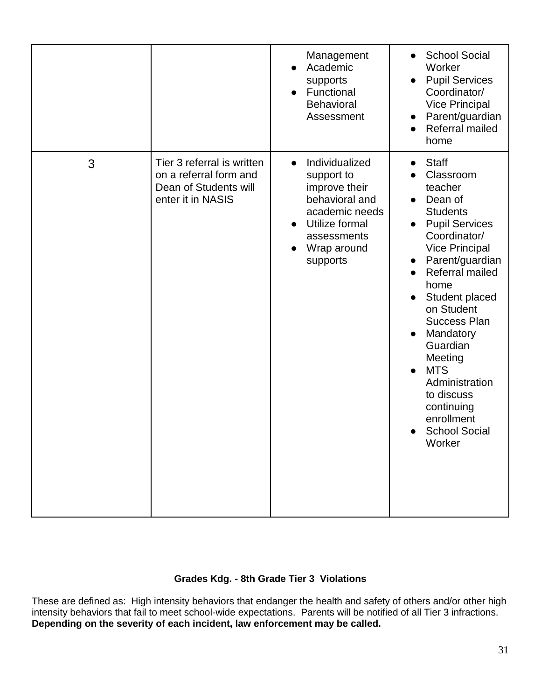|   |                                                                                                    | Management<br>Academic<br>supports<br>Functional<br><b>Behavioral</b><br>Assessment                                                                        | <b>School Social</b><br>$\bullet$<br>Worker<br><b>Pupil Services</b><br>$\bullet$<br>Coordinator/<br><b>Vice Principal</b><br>Parent/guardian<br>$\bullet$<br>Referral mailed<br>$\bullet$<br>home                                                                                                                                                                                                                                                                                                |
|---|----------------------------------------------------------------------------------------------------|------------------------------------------------------------------------------------------------------------------------------------------------------------|---------------------------------------------------------------------------------------------------------------------------------------------------------------------------------------------------------------------------------------------------------------------------------------------------------------------------------------------------------------------------------------------------------------------------------------------------------------------------------------------------|
| 3 | Tier 3 referral is written<br>on a referral form and<br>Dean of Students will<br>enter it in NASIS | Individualized<br>$\bullet$<br>support to<br>improve their<br>behavioral and<br>academic needs<br>Utilize formal<br>assessments<br>Wrap around<br>supports | <b>Staff</b><br>$\bullet$<br>Classroom<br>teacher<br>Dean of<br>$\bullet$<br><b>Students</b><br><b>Pupil Services</b><br>$\bullet$<br>Coordinator/<br><b>Vice Principal</b><br>Parent/guardian<br>$\bullet$<br>Referral mailed<br>$\bullet$<br>home<br>Student placed<br>on Student<br><b>Success Plan</b><br>Mandatory<br>$\bullet$<br>Guardian<br>Meeting<br><b>MTS</b><br>$\bullet$<br>Administration<br>to discuss<br>continuing<br>enrollment<br><b>School Social</b><br>$\bullet$<br>Worker |

# **Grades Kdg. - 8th Grade Tier 3 Violations**

These are defined as: High intensity behaviors that endanger the health and safety of others and/or other high intensity behaviors that fail to meet school-wide expectations. Parents will be notified of all Tier 3 infractions. **Depending on the severity of each incident, law enforcement may be called.**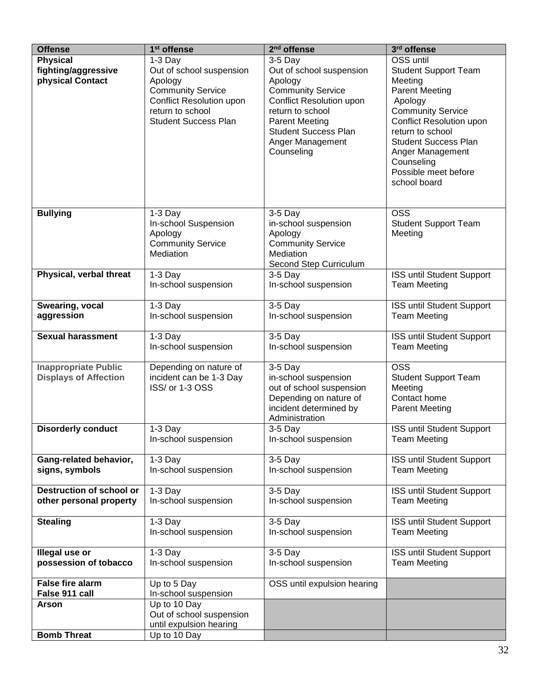| <b>Offense</b>                                              | 1 <sup>st</sup> offense                                                                                                                                            | 2 <sup>nd</sup> offense                                                                                                                                                                                                | 3rd offense                                                                                                                                                                                                                                                                         |
|-------------------------------------------------------------|--------------------------------------------------------------------------------------------------------------------------------------------------------------------|------------------------------------------------------------------------------------------------------------------------------------------------------------------------------------------------------------------------|-------------------------------------------------------------------------------------------------------------------------------------------------------------------------------------------------------------------------------------------------------------------------------------|
| <b>Physical</b><br>fighting/aggressive<br>physical Contact  | $1-3$ Day<br>Out of school suspension<br>Apology<br><b>Community Service</b><br><b>Conflict Resolution upon</b><br>return to school<br><b>Student Success Plan</b> | $3-5$ Day<br>Out of school suspension<br>Apology<br><b>Community Service</b><br>Conflict Resolution upon<br>return to school<br><b>Parent Meeting</b><br><b>Student Success Plan</b><br>Anger Management<br>Counseling | OSS until<br><b>Student Support Team</b><br>Meeting<br><b>Parent Meeting</b><br>Apology<br><b>Community Service</b><br><b>Conflict Resolution upon</b><br>return to school<br><b>Student Success Plan</b><br>Anger Management<br>Counseling<br>Possible meet before<br>school board |
| <b>Bullying</b>                                             | $1-3$ Day<br>In-school Suspension<br>Apology<br><b>Community Service</b><br>Mediation                                                                              | $3-5$ Day<br>in-school suspension<br>Apology<br><b>Community Service</b><br>Mediation<br>Second Step Curriculum                                                                                                        | <b>OSS</b><br><b>Student Support Team</b><br>Meeting                                                                                                                                                                                                                                |
| Physical, verbal threat                                     | $1-3$ Day                                                                                                                                                          | $3-5$ Day                                                                                                                                                                                                              | ISS until Student Support                                                                                                                                                                                                                                                           |
|                                                             | In-school suspension                                                                                                                                               | In-school suspension                                                                                                                                                                                                   | <b>Team Meeting</b>                                                                                                                                                                                                                                                                 |
| Swearing, vocal                                             | $1-3$ Day                                                                                                                                                          | 3-5 Day                                                                                                                                                                                                                | ISS until Student Support                                                                                                                                                                                                                                                           |
| aggression                                                  | In-school suspension                                                                                                                                               | In-school suspension                                                                                                                                                                                                   | <b>Team Meeting</b>                                                                                                                                                                                                                                                                 |
| <b>Sexual harassment</b>                                    | $1-3$ Day                                                                                                                                                          | 3-5 Day                                                                                                                                                                                                                | ISS until Student Support                                                                                                                                                                                                                                                           |
|                                                             | In-school suspension                                                                                                                                               | In-school suspension                                                                                                                                                                                                   | <b>Team Meeting</b>                                                                                                                                                                                                                                                                 |
| <b>Inappropriate Public</b><br><b>Displays of Affection</b> | Depending on nature of<br>incident can be 1-3 Day<br>ISS/ or 1-3 OSS                                                                                               | $3-5$ Day<br>in-school suspension<br>out of school suspension<br>Depending on nature of<br>incident determined by<br>Administration                                                                                    | <b>OSS</b><br><b>Student Support Team</b><br>Meeting<br>Contact home<br><b>Parent Meeting</b>                                                                                                                                                                                       |
| <b>Disorderly conduct</b>                                   | $1-3$ Day                                                                                                                                                          | $3-5$ Day                                                                                                                                                                                                              | <b>ISS until Student Support</b>                                                                                                                                                                                                                                                    |
|                                                             | In-school suspension                                                                                                                                               | In-school suspension                                                                                                                                                                                                   | <b>Team Meeting</b>                                                                                                                                                                                                                                                                 |
| Gang-related behavior,                                      | $1-3$ Day                                                                                                                                                          | $3-5$ Day                                                                                                                                                                                                              | ISS until Student Support                                                                                                                                                                                                                                                           |
| signs, symbols                                              | In-school suspension                                                                                                                                               | In-school suspension                                                                                                                                                                                                   | <b>Team Meeting</b>                                                                                                                                                                                                                                                                 |
| <b>Destruction of school or</b>                             | $1-3$ Day                                                                                                                                                          | 3-5 Day                                                                                                                                                                                                                | ISS until Student Support                                                                                                                                                                                                                                                           |
| other personal property                                     | In-school suspension                                                                                                                                               | In-school suspension                                                                                                                                                                                                   | <b>Team Meeting</b>                                                                                                                                                                                                                                                                 |
| <b>Stealing</b>                                             | $1-3$ Day                                                                                                                                                          | $3-5$ Day                                                                                                                                                                                                              | ISS until Student Support                                                                                                                                                                                                                                                           |
|                                                             | In-school suspension                                                                                                                                               | In-school suspension                                                                                                                                                                                                   | <b>Team Meeting</b>                                                                                                                                                                                                                                                                 |
| Illegal use or                                              | $1-3$ Day                                                                                                                                                          | $3-5$ Day                                                                                                                                                                                                              | ISS until Student Support                                                                                                                                                                                                                                                           |
| possession of tobacco                                       | In-school suspension                                                                                                                                               | In-school suspension                                                                                                                                                                                                   | <b>Team Meeting</b>                                                                                                                                                                                                                                                                 |
| <b>False fire alarm</b><br>False 911 call                   | Up to 5 Day<br>In-school suspension                                                                                                                                | OSS until expulsion hearing                                                                                                                                                                                            |                                                                                                                                                                                                                                                                                     |
| <b>Arson</b>                                                | Up to 10 Day<br>Out of school suspension<br>until expulsion hearing                                                                                                |                                                                                                                                                                                                                        |                                                                                                                                                                                                                                                                                     |
| <b>Bomb Threat</b>                                          | Up to 10 Day                                                                                                                                                       |                                                                                                                                                                                                                        |                                                                                                                                                                                                                                                                                     |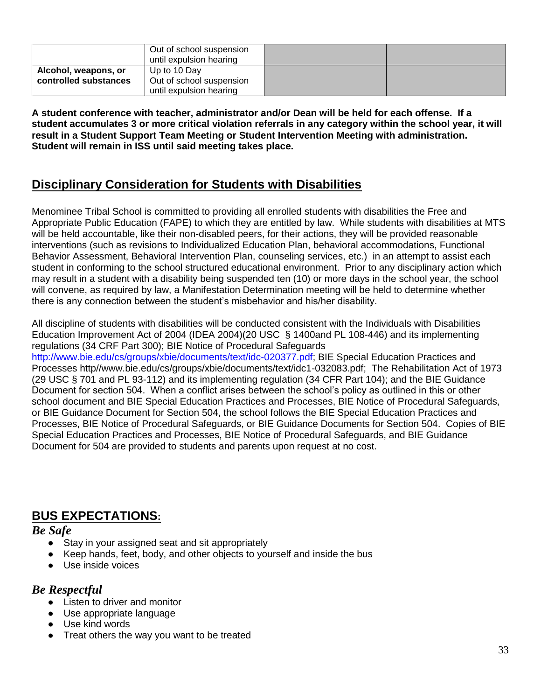|                       | Out of school suspension<br>until expulsion hearing |  |
|-----------------------|-----------------------------------------------------|--|
| Alcohol, weapons, or  | Up to 10 Day                                        |  |
| controlled substances | Out of school suspension                            |  |
|                       | until expulsion hearing                             |  |

**A student conference with teacher, administrator and/or Dean will be held for each offense. If a student accumulates 3 or more critical violation referrals in any category within the school year, it will result in a Student Support Team Meeting or Student Intervention Meeting with administration. Student will remain in ISS until said meeting takes place.** 

# **Disciplinary Consideration for Students with Disabilities**

Menominee Tribal School is committed to providing all enrolled students with disabilities the Free and Appropriate Public Education (FAPE) to which they are entitled by law. While students with disabilities at MTS will be held accountable, like their non-disabled peers, for their actions, they will be provided reasonable interventions (such as revisions to Individualized Education Plan, behavioral accommodations, Functional Behavior Assessment, Behavioral Intervention Plan, counseling services, etc.) in an attempt to assist each student in conforming to the school structured educational environment. Prior to any disciplinary action which may result in a student with a disability being suspended ten (10) or more days in the school year, the school will convene, as required by law, a Manifestation Determination meeting will be held to determine whether there is any connection between the student's misbehavior and his/her disability.

All discipline of students with disabilities will be conducted consistent with the Individuals with Disabilities Education Improvement Act of 2004 (IDEA 2004)(20 USC § 1400and PL 108-446) and its implementing regulations (34 CRF Part 300); BIE Notice of Procedural Safeguard[s](http://www.bie.edu/cs/groups/xbie/documents/text/idc-020377.pdf)

[http://www.bie.edu/cs/groups/xbie/documents/text/idc-020377.pdf;](http://www.bie.edu/cs/groups/xbie/documents/text/idc-020377.pdf) BIE Special Education Practices and Processes http//www.bie.edu/cs/groups/xbie/documents/text/idc1-032083.pdf; The Rehabilitation Act of 1973 (29 USC § 701 and PL 93-112) and its implementing regulation (34 CFR Part 104); and the BIE Guidance Document for section 504. When a conflict arises between the school's policy as outlined in this or other school document and BIE Special Education Practices and Processes, BIE Notice of Procedural Safeguards, or BIE Guidance Document for Section 504, the school follows the BIE Special Education Practices and Processes, BIE Notice of Procedural Safeguards, or BIE Guidance Documents for Section 504. Copies of BIE Special Education Practices and Processes, BIE Notice of Procedural Safeguards, and BIE Guidance Document for 504 are provided to students and parents upon request at no cost.

# **BUS EXPECTATIONS:**

# *Be Safe*

- Stay in your assigned seat and sit appropriately
- Keep hands, feet, body, and other objects to yourself and inside the bus
- Use inside voices

# *Be Respectful*

- Listen to driver and monitor
- Use appropriate language
- Use kind words
- Treat others the way you want to be treated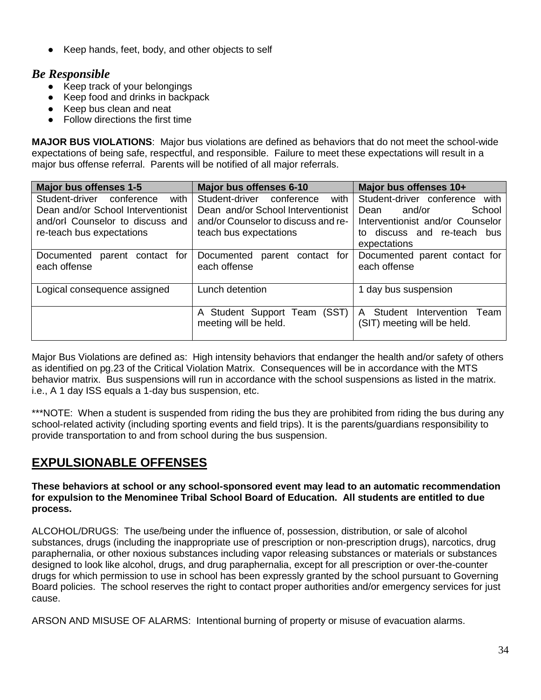Keep hands, feet, body, and other objects to self

# *Be Responsible*

- Keep track of your belongings
- Keep food and drinks in backpack
- Keep bus clean and neat
- Follow directions the first time

**MAJOR BUS VIOLATIONS**: Major bus violations are defined as behaviors that do not meet the school-wide expectations of being safe, respectful, and responsible. Failure to meet these expectations will result in a major bus offense referral. Parents will be notified of all major referrals.

| Major bus offenses 1-5                           | <b>Major bus offenses 6-10</b>                        | Major bus offenses 10+                                              |
|--------------------------------------------------|-------------------------------------------------------|---------------------------------------------------------------------|
| with<br>Student-driver conference                | with<br>Student-driver conference                     | Student-driver conference with                                      |
| Dean and/or School Interventionist               | Dean and/or School Interventionist                    | and/or<br>School<br>Dean                                            |
| and/orl Counselor to discuss and                 | and/or Counselor to discuss and re-                   | Interventionist and/or Counselor                                    |
| re-teach bus expectations                        | teach bus expectations                                | to discuss and re-teach bus                                         |
|                                                  |                                                       | expectations                                                        |
| parent contact for<br>Documented<br>each offense | Documented<br>parent contact for<br>each offense      | Documented parent contact for<br>each offense                       |
| Logical consequence assigned                     | Lunch detention                                       | 1 day bus suspension                                                |
|                                                  | A Student Support Team (SST)<br>meeting will be held. | Student<br>Intervention<br>A<br>Team<br>(SIT) meeting will be held. |

Major Bus Violations are defined as: High intensity behaviors that endanger the health and/or safety of others as identified on pg.23 of the Critical Violation Matrix. Consequences will be in accordance with the MTS behavior matrix. Bus suspensions will run in accordance with the school suspensions as listed in the matrix. i.e., A 1 day ISS equals a 1-day bus suspension, etc.

\*\*\*NOTE: When a student is suspended from riding the bus they are prohibited from riding the bus during any school-related activity (including sporting events and field trips). It is the parents/guardians responsibility to provide transportation to and from school during the bus suspension.

# **EXPULSIONABLE OFFENSES**

**These behaviors at school or any school-sponsored event may lead to an automatic recommendation for expulsion to the Menominee Tribal School Board of Education. All students are entitled to due process.**

ALCOHOL/DRUGS: The use/being under the influence of, possession, distribution, or sale of alcohol substances, drugs (including the inappropriate use of prescription or non-prescription drugs), narcotics, drug paraphernalia, or other noxious substances including vapor releasing substances or materials or substances designed to look like alcohol, drugs, and drug paraphernalia, except for all prescription or over-the-counter drugs for which permission to use in school has been expressly granted by the school pursuant to Governing Board policies. The school reserves the right to contact proper authorities and/or emergency services for just cause.

ARSON AND MISUSE OF ALARMS: Intentional burning of property or misuse of evacuation alarms.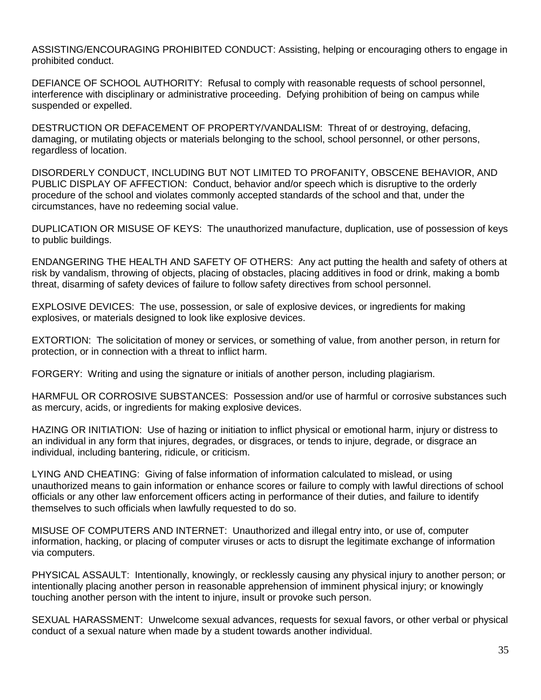ASSISTING/ENCOURAGING PROHIBITED CONDUCT: Assisting, helping or encouraging others to engage in prohibited conduct.

DEFIANCE OF SCHOOL AUTHORITY: Refusal to comply with reasonable requests of school personnel, interference with disciplinary or administrative proceeding. Defying prohibition of being on campus while suspended or expelled.

DESTRUCTION OR DEFACEMENT OF PROPERTY/VANDALISM: Threat of or destroying, defacing, damaging, or mutilating objects or materials belonging to the school, school personnel, or other persons, regardless of location.

DISORDERLY CONDUCT, INCLUDING BUT NOT LIMITED TO PROFANITY, OBSCENE BEHAVIOR, AND PUBLIC DISPLAY OF AFFECTION: Conduct, behavior and/or speech which is disruptive to the orderly procedure of the school and violates commonly accepted standards of the school and that, under the circumstances, have no redeeming social value.

DUPLICATION OR MISUSE OF KEYS: The unauthorized manufacture, duplication, use of possession of keys to public buildings.

ENDANGERING THE HEALTH AND SAFETY OF OTHERS: Any act putting the health and safety of others at risk by vandalism, throwing of objects, placing of obstacles, placing additives in food or drink, making a bomb threat, disarming of safety devices of failure to follow safety directives from school personnel.

EXPLOSIVE DEVICES: The use, possession, or sale of explosive devices, or ingredients for making explosives, or materials designed to look like explosive devices.

EXTORTION: The solicitation of money or services, or something of value, from another person, in return for protection, or in connection with a threat to inflict harm.

FORGERY: Writing and using the signature or initials of another person, including plagiarism.

HARMFUL OR CORROSIVE SUBSTANCES: Possession and/or use of harmful or corrosive substances such as mercury, acids, or ingredients for making explosive devices.

HAZING OR INITIATION: Use of hazing or initiation to inflict physical or emotional harm, injury or distress to an individual in any form that injures, degrades, or disgraces, or tends to injure, degrade, or disgrace an individual, including bantering, ridicule, or criticism.

LYING AND CHEATING: Giving of false information of information calculated to mislead, or using unauthorized means to gain information or enhance scores or failure to comply with lawful directions of school officials or any other law enforcement officers acting in performance of their duties, and failure to identify themselves to such officials when lawfully requested to do so.

MISUSE OF COMPUTERS AND INTERNET: Unauthorized and illegal entry into, or use of, computer information, hacking, or placing of computer viruses or acts to disrupt the legitimate exchange of information via computers.

PHYSICAL ASSAULT: Intentionally, knowingly, or recklessly causing any physical injury to another person; or intentionally placing another person in reasonable apprehension of imminent physical injury; or knowingly touching another person with the intent to injure, insult or provoke such person.

SEXUAL HARASSMENT: Unwelcome sexual advances, requests for sexual favors, or other verbal or physical conduct of a sexual nature when made by a student towards another individual.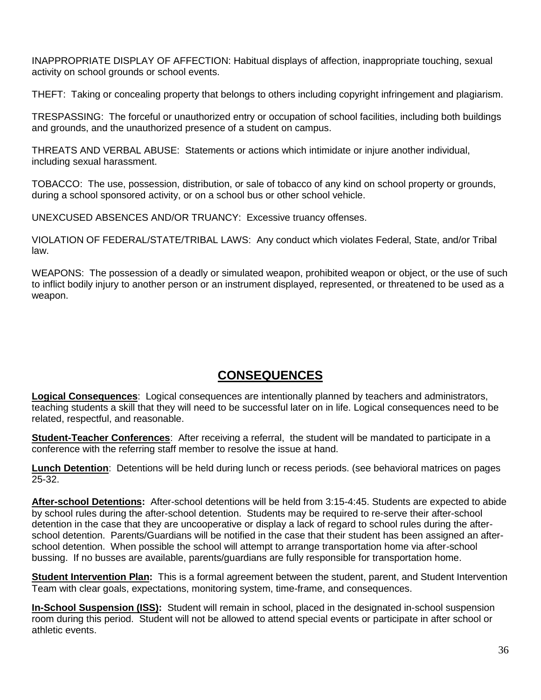INAPPROPRIATE DISPLAY OF AFFECTION: Habitual displays of affection, inappropriate touching, sexual activity on school grounds or school events.

THEFT: Taking or concealing property that belongs to others including copyright infringement and plagiarism.

TRESPASSING: The forceful or unauthorized entry or occupation of school facilities, including both buildings and grounds, and the unauthorized presence of a student on campus.

THREATS AND VERBAL ABUSE: Statements or actions which intimidate or injure another individual, including sexual harassment.

TOBACCO: The use, possession, distribution, or sale of tobacco of any kind on school property or grounds, during a school sponsored activity, or on a school bus or other school vehicle.

UNEXCUSED ABSENCES AND/OR TRUANCY: Excessive truancy offenses.

VIOLATION OF FEDERAL/STATE/TRIBAL LAWS: Any conduct which violates Federal, State, and/or Tribal law.

WEAPONS: The possession of a deadly or simulated weapon, prohibited weapon or object, or the use of such to inflict bodily injury to another person or an instrument displayed, represented, or threatened to be used as a weapon.

# **CONSEQUENCES**

**Logical Consequences**: Logical consequences are intentionally planned by teachers and administrators, teaching students a skill that they will need to be successful later on in life. Logical consequences need to be related, respectful, and reasonable.

**Student-Teacher Conferences**: After receiving a referral, the student will be mandated to participate in a conference with the referring staff member to resolve the issue at hand.

**Lunch Detention**: Detentions will be held during lunch or recess periods. (see behavioral matrices on pages 25-32.

**After-school Detentions:** After-school detentions will be held from 3:15-4:45. Students are expected to abide by school rules during the after-school detention. Students may be required to re-serve their after-school detention in the case that they are uncooperative or display a lack of regard to school rules during the afterschool detention. Parents/Guardians will be notified in the case that their student has been assigned an afterschool detention. When possible the school will attempt to arrange transportation home via after-school bussing. If no busses are available, parents/guardians are fully responsible for transportation home.

**Student Intervention Plan:** This is a formal agreement between the student, parent, and Student Intervention Team with clear goals, expectations, monitoring system, time-frame, and consequences.

**In-School Suspension (ISS):** Student will remain in school, placed in the designated in-school suspension room during this period. Student will not be allowed to attend special events or participate in after school or athletic events.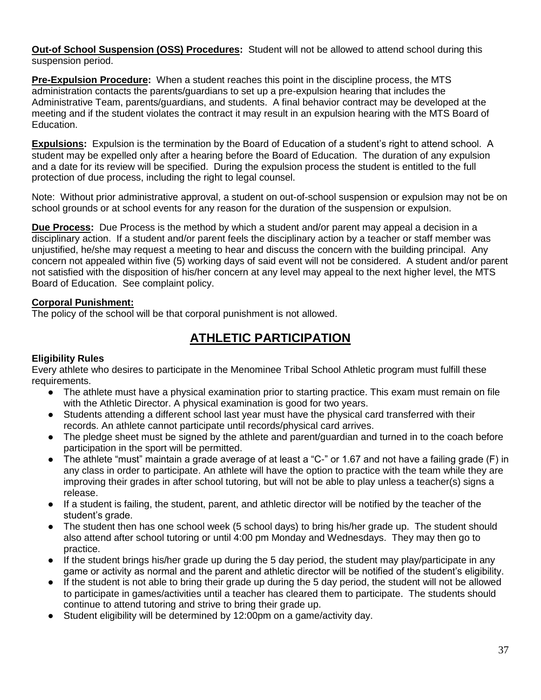**Out-of School Suspension (OSS) Procedures:** Student will not be allowed to attend school during this suspension period.

**Pre-Expulsion Procedure:** When a student reaches this point in the discipline process, the MTS administration contacts the parents/guardians to set up a pre-expulsion hearing that includes the Administrative Team, parents/guardians, and students. A final behavior contract may be developed at the meeting and if the student violates the contract it may result in an expulsion hearing with the MTS Board of Education.

**Expulsions:** Expulsion is the termination by the Board of Education of a student's right to attend school. A student may be expelled only after a hearing before the Board of Education. The duration of any expulsion and a date for its review will be specified. During the expulsion process the student is entitled to the full protection of due process, including the right to legal counsel.

Note: Without prior administrative approval, a student on out-of-school suspension or expulsion may not be on school grounds or at school events for any reason for the duration of the suspension or expulsion.

**Due Process:** Due Process is the method by which a student and/or parent may appeal a decision in a disciplinary action. If a student and/or parent feels the disciplinary action by a teacher or staff member was unjustified, he/she may request a meeting to hear and discuss the concern with the building principal. Any concern not appealed within five (5) working days of said event will not be considered. A student and/or parent not satisfied with the disposition of his/her concern at any level may appeal to the next higher level, the MTS Board of Education. See complaint policy.

#### **Corporal Punishment:**

The policy of the school will be that corporal punishment is not allowed.

# **ATHLETIC PARTICIPATION**

#### **Eligibility Rules**

Every athlete who desires to participate in the Menominee Tribal School Athletic program must fulfill these requirements.

- The athlete must have a physical examination prior to starting practice. This exam must remain on file with the Athletic Director. A physical examination is good for two years.
- Students attending a different school last year must have the physical card transferred with their records. An athlete cannot participate until records/physical card arrives.
- The pledge sheet must be signed by the athlete and parent/guardian and turned in to the coach before participation in the sport will be permitted.
- The athlete "must" maintain a grade average of at least a "C-" or 1.67 and not have a failing grade (F) in any class in order to participate. An athlete will have the option to practice with the team while they are improving their grades in after school tutoring, but will not be able to play unless a teacher(s) signs a release.
- If a student is failing, the student, parent, and athletic director will be notified by the teacher of the student's grade.
- The student then has one school week (5 school days) to bring his/her grade up. The student should also attend after school tutoring or until 4:00 pm Monday and Wednesdays. They may then go to practice.
- If the student brings his/her grade up during the 5 day period, the student may play/participate in any game or activity as normal and the parent and athletic director will be notified of the student's eligibility.
- If the student is not able to bring their grade up during the 5 day period, the student will not be allowed to participate in games/activities until a teacher has cleared them to participate. The students should continue to attend tutoring and strive to bring their grade up.
- Student eligibility will be determined by 12:00pm on a game/activity day.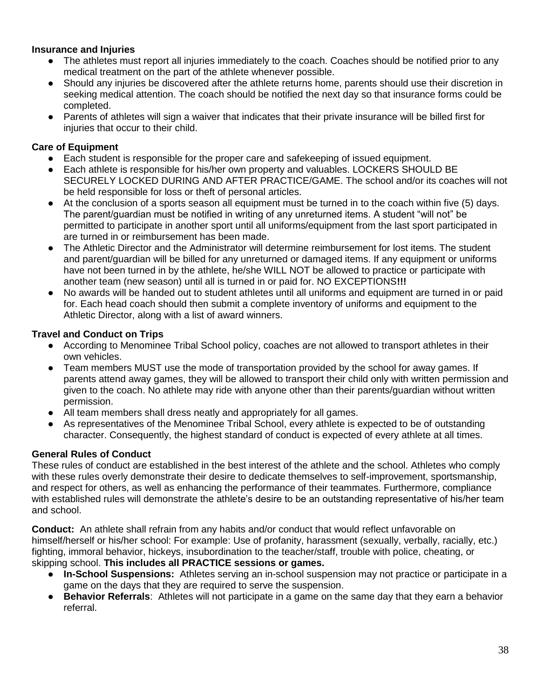#### **Insurance and Injuries**

- The athletes must report all injuries immediately to the coach. Coaches should be notified prior to any medical treatment on the part of the athlete whenever possible.
- Should any injuries be discovered after the athlete returns home, parents should use their discretion in seeking medical attention. The coach should be notified the next day so that insurance forms could be completed.
- Parents of athletes will sign a waiver that indicates that their private insurance will be billed first for injuries that occur to their child.

#### **Care of Equipment**

- Each student is responsible for the proper care and safekeeping of issued equipment.
- Each athlete is responsible for his/her own property and valuables. LOCKERS SHOULD BE SECURELY LOCKED DURING AND AFTER PRACTICE/GAME. The school and/or its coaches will not be held responsible for loss or theft of personal articles.
- At the conclusion of a sports season all equipment must be turned in to the coach within five (5) days. The parent/guardian must be notified in writing of any unreturned items. A student "will not" be permitted to participate in another sport until all uniforms/equipment from the last sport participated in are turned in or reimbursement has been made.
- The Athletic Director and the Administrator will determine reimbursement for lost items. The student and parent/guardian will be billed for any unreturned or damaged items. If any equipment or uniforms have not been turned in by the athlete, he/she WILL NOT be allowed to practice or participate with another team (new season) until all is turned in or paid for. NO EXCEPTIONS**!!!**
- No awards will be handed out to student athletes until all uniforms and equipment are turned in or paid for. Each head coach should then submit a complete inventory of uniforms and equipment to the Athletic Director, along with a list of award winners.

#### **Travel and Conduct on Trips**

- According to Menominee Tribal School policy, coaches are not allowed to transport athletes in their own vehicles.
- Team members MUST use the mode of transportation provided by the school for away games. If parents attend away games, they will be allowed to transport their child only with written permission and given to the coach. No athlete may ride with anyone other than their parents/guardian without written permission.
- All team members shall dress neatly and appropriately for all games.
- As representatives of the Menominee Tribal School, every athlete is expected to be of outstanding character. Consequently, the highest standard of conduct is expected of every athlete at all times.

# **General Rules of Conduct**

These rules of conduct are established in the best interest of the athlete and the school. Athletes who comply with these rules overly demonstrate their desire to dedicate themselves to self-improvement, sportsmanship, and respect for others, as well as enhancing the performance of their teammates. Furthermore, compliance with established rules will demonstrate the athlete's desire to be an outstanding representative of his/her team and school.

**Conduct:** An athlete shall refrain from any habits and/or conduct that would reflect unfavorable on himself/herself or his/her school: For example: Use of profanity, harassment (sexually, verbally, racially, etc.) fighting, immoral behavior, hickeys, insubordination to the teacher/staff, trouble with police, cheating, or skipping school. **This includes all PRACTICE sessions or games.** 

- **In-School Suspensions:** Athletes serving an in-school suspension may not practice or participate in a game on the days that they are required to serve the suspension.
- **Behavior Referrals:** Athletes will not participate in a game on the same day that they earn a behavior referral.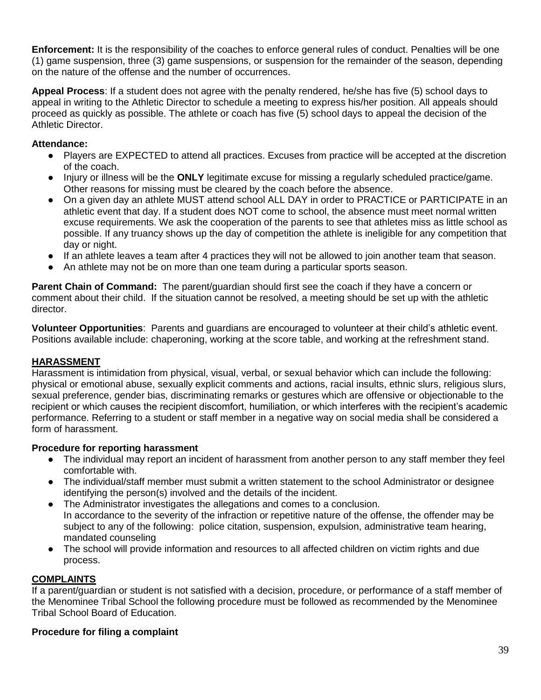**Enforcement:** It is the responsibility of the coaches to enforce general rules of conduct. Penalties will be one (1) game suspension, three (3) game suspensions, or suspension for the remainder of the season, depending on the nature of the offense and the number of occurrences.

**Appeal Process**: If a student does not agree with the penalty rendered, he/she has five (5) school days to appeal in writing to the Athletic Director to schedule a meeting to express his/her position. All appeals should proceed as quickly as possible. The athlete or coach has five (5) school days to appeal the decision of the Athletic Director.

### **Attendance:**

- Players are EXPECTED to attend all practices. Excuses from practice will be accepted at the discretion of the coach.
- Injury or illness will be the **ONLY** legitimate excuse for missing a regularly scheduled practice/game. Other reasons for missing must be cleared by the coach before the absence.
- On a given day an athlete MUST attend school ALL DAY in order to PRACTICE or PARTICIPATE in an athletic event that day. If a student does NOT come to school, the absence must meet normal written excuse requirements. We ask the cooperation of the parents to see that athletes miss as little school as possible. If any truancy shows up the day of competition the athlete is ineligible for any competition that day or night.
- If an athlete leaves a team after 4 practices they will not be allowed to join another team that season.
- An athlete may not be on more than one team during a particular sports season.

**Parent Chain of Command:** The parent/guardian should first see the coach if they have a concern or comment about their child. If the situation cannot be resolved, a meeting should be set up with the athletic director.

**Volunteer Opportunities**: Parents and guardians are encouraged to volunteer at their child's athletic event. Positions available include: chaperoning, working at the score table, and working at the refreshment stand.

#### **HARASSMENT**

Harassment is intimidation from physical, visual, verbal, or sexual behavior which can include the following: physical or emotional abuse, sexually explicit comments and actions, racial insults, ethnic slurs, religious slurs, sexual preference, gender bias, discriminating remarks or gestures which are offensive or objectionable to the recipient or which causes the recipient discomfort, humiliation, or which interferes with the recipient's academic performance. Referring to a student or staff member in a negative way on social media shall be considered a form of harassment.

#### **Procedure for reporting harassment**

- The individual may report an incident of harassment from another person to any staff member they feel comfortable with.
- The individual/staff member must submit a written statement to the school Administrator or designee identifying the person(s) involved and the details of the incident.
- The Administrator investigates the allegations and comes to a conclusion. In accordance to the severity of the infraction or repetitive nature of the offense, the offender may be subject to any of the following: police citation, suspension, expulsion, administrative team hearing, mandated counseling
- The school will provide information and resources to all affected children on victim rights and due process.

#### **COMPLAINTS**

If a parent/guardian or student is not satisfied with a decision, procedure, or performance of a staff member of the Menominee Tribal School the following procedure must be followed as recommended by the Menominee Tribal School Board of Education.

#### **Procedure for filing a complaint**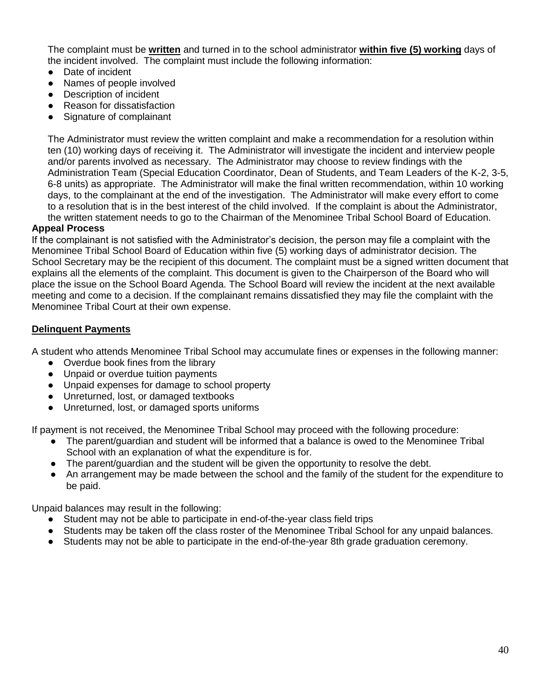The complaint must be **written** and turned in to the school administrator **within five (5) working** days of the incident involved. The complaint must include the following information:

- Date of incident
- Names of people involved
- Description of incident
- **Reason for dissatisfaction**
- Signature of complainant

The Administrator must review the written complaint and make a recommendation for a resolution within ten (10) working days of receiving it. The Administrator will investigate the incident and interview people and/or parents involved as necessary. The Administrator may choose to review findings with the Administration Team (Special Education Coordinator, Dean of Students, and Team Leaders of the K-2, 3-5, 6-8 units) as appropriate. The Administrator will make the final written recommendation, within 10 working days, to the complainant at the end of the investigation. The Administrator will make every effort to come to a resolution that is in the best interest of the child involved. If the complaint is about the Administrator, the written statement needs to go to the Chairman of the Menominee Tribal School Board of Education.

#### **Appeal Process**

If the complainant is not satisfied with the Administrator's decision, the person may file a complaint with the Menominee Tribal School Board of Education within five (5) working days of administrator decision. The School Secretary may be the recipient of this document. The complaint must be a signed written document that explains all the elements of the complaint. This document is given to the Chairperson of the Board who will place the issue on the School Board Agenda. The School Board will review the incident at the next available meeting and come to a decision. If the complainant remains dissatisfied they may file the complaint with the Menominee Tribal Court at their own expense.

#### **Delinquent Payments**

A student who attends Menominee Tribal School may accumulate fines or expenses in the following manner:

- Overdue book fines from the library
- Unpaid or overdue tuition payments
- Unpaid expenses for damage to school property
- Unreturned, lost, or damaged textbooks
- Unreturned, lost, or damaged sports uniforms

If payment is not received, the Menominee Tribal School may proceed with the following procedure:

- The parent/guardian and student will be informed that a balance is owed to the Menominee Tribal School with an explanation of what the expenditure is for.
- The parent/quardian and the student will be given the opportunity to resolve the debt.
- An arrangement may be made between the school and the family of the student for the expenditure to be paid.

Unpaid balances may result in the following:

- Student may not be able to participate in end-of-the-year class field trips
- Students may be taken off the class roster of the Menominee Tribal School for any unpaid balances.
- Students may not be able to participate in the end-of-the-year 8th grade graduation ceremony.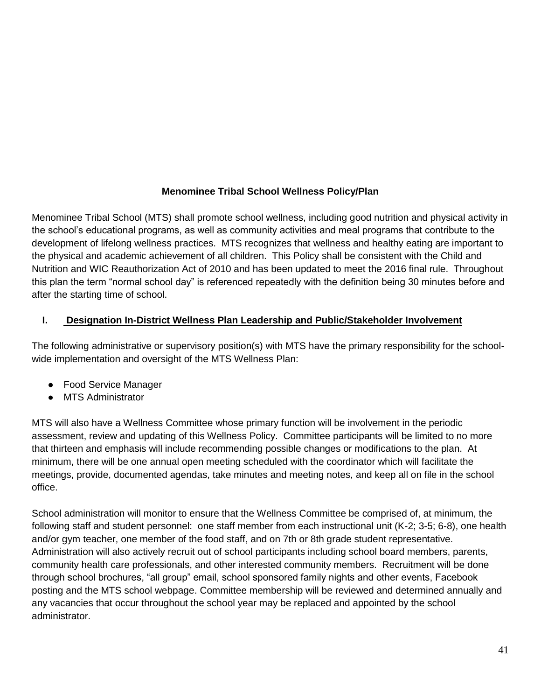# **Menominee Tribal School Wellness Policy/Plan**

Menominee Tribal School (MTS) shall promote school wellness, including good nutrition and physical activity in the school's educational programs, as well as community activities and meal programs that contribute to the development of lifelong wellness practices. MTS recognizes that wellness and healthy eating are important to the physical and academic achievement of all children. This Policy shall be consistent with the Child and Nutrition and WIC Reauthorization Act of 2010 and has been updated to meet the 2016 final rule. Throughout this plan the term "normal school day" is referenced repeatedly with the definition being 30 minutes before and after the starting time of school.

# **I. Designation In-District Wellness Plan Leadership and Public/Stakeholder Involvement**

The following administrative or supervisory position(s) with MTS have the primary responsibility for the schoolwide implementation and oversight of the MTS Wellness Plan:

- Food Service Manager
- MTS Administrator

MTS will also have a Wellness Committee whose primary function will be involvement in the periodic assessment, review and updating of this Wellness Policy. Committee participants will be limited to no more that thirteen and emphasis will include recommending possible changes or modifications to the plan. At minimum, there will be one annual open meeting scheduled with the coordinator which will facilitate the meetings, provide, documented agendas, take minutes and meeting notes, and keep all on file in the school office.

School administration will monitor to ensure that the Wellness Committee be comprised of, at minimum, the following staff and student personnel: one staff member from each instructional unit (K-2; 3-5; 6-8), one health and/or gym teacher, one member of the food staff, and on 7th or 8th grade student representative. Administration will also actively recruit out of school participants including school board members, parents, community health care professionals, and other interested community members. Recruitment will be done through school brochures, "all group" email, school sponsored family nights and other events, Facebook posting and the MTS school webpage. Committee membership will be reviewed and determined annually and any vacancies that occur throughout the school year may be replaced and appointed by the school administrator.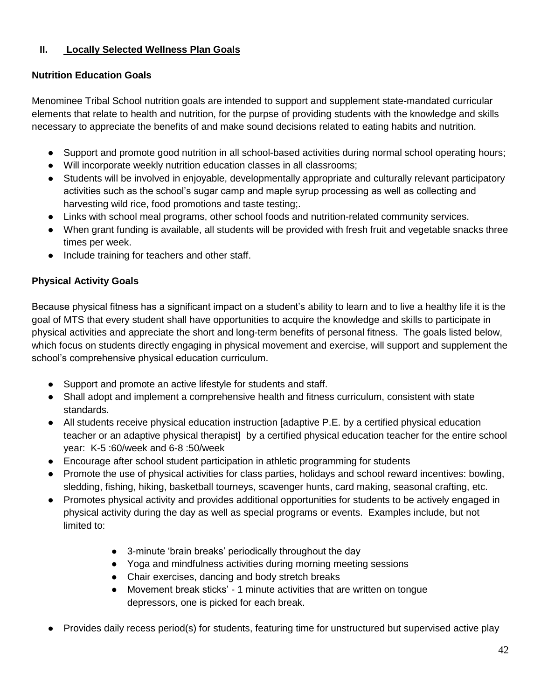# **II. Locally Selected Wellness Plan Goals**

# **Nutrition Education Goals**

Menominee Tribal School nutrition goals are intended to support and supplement state-mandated curricular elements that relate to health and nutrition, for the purpse of providing students with the knowledge and skills necessary to appreciate the benefits of and make sound decisions related to eating habits and nutrition.

- Support and promote good nutrition in all school-based activities during normal school operating hours;
- Will incorporate weekly nutrition education classes in all classrooms;
- Students will be involved in enjoyable, developmentally appropriate and culturally relevant participatory activities such as the school's sugar camp and maple syrup processing as well as collecting and harvesting wild rice, food promotions and taste testing;.
- Links with school meal programs, other school foods and nutrition-related community services.
- When grant funding is available, all students will be provided with fresh fruit and vegetable snacks three times per week.
- Include training for teachers and other staff.

# **Physical Activity Goals**

Because physical fitness has a significant impact on a student's ability to learn and to live a healthy life it is the goal of MTS that every student shall have opportunities to acquire the knowledge and skills to participate in physical activities and appreciate the short and long-term benefits of personal fitness. The goals listed below, which focus on students directly engaging in physical movement and exercise, will support and supplement the school's comprehensive physical education curriculum.

- Support and promote an active lifestyle for students and staff.
- Shall adopt and implement a comprehensive health and fitness curriculum, consistent with state standards.
- All students receive physical education instruction [adaptive P.E. by a certified physical education teacher or an adaptive physical therapist] by a certified physical education teacher for the entire school year: K-5 :60/week and 6-8 :50/week
- Encourage after school student participation in athletic programming for students
- Promote the use of physical activities for class parties, holidays and school reward incentives: bowling, sledding, fishing, hiking, basketball tourneys, scavenger hunts, card making, seasonal crafting, etc.
- Promotes physical activity and provides additional opportunities for students to be actively engaged in physical activity during the day as well as special programs or events. Examples include, but not limited to:
	- 3-minute 'brain breaks' periodically throughout the day
	- Yoga and mindfulness activities during morning meeting sessions
	- Chair exercises, dancing and body stretch breaks
	- Movement break sticks' 1 minute activities that are written on tongue depressors, one is picked for each break.
- Provides daily recess period(s) for students, featuring time for unstructured but supervised active play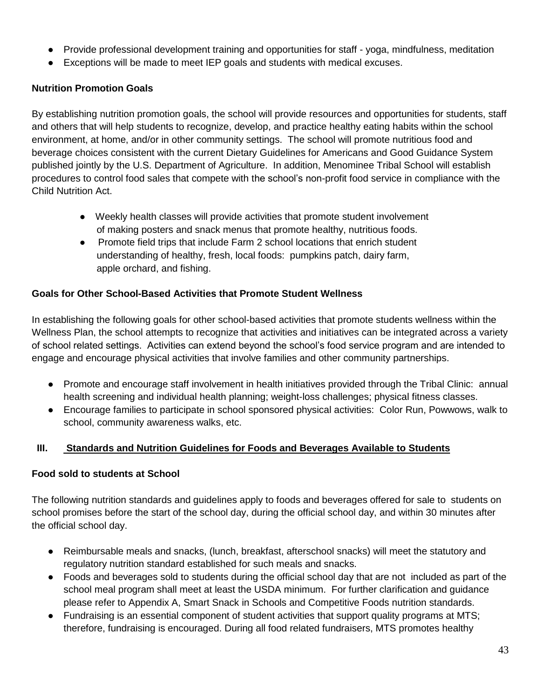- Provide professional development training and opportunities for staff yoga, mindfulness, meditation
- Exceptions will be made to meet IEP goals and students with medical excuses.

# **Nutrition Promotion Goals**

By establishing nutrition promotion goals, the school will provide resources and opportunities for students, staff and others that will help students to recognize, develop, and practice healthy eating habits within the school environment, at home, and/or in other community settings. The school will promote nutritious food and beverage choices consistent with the current Dietary Guidelines for Americans and Good Guidance System published jointly by the U.S. Department of Agriculture. In addition, Menominee Tribal School will establish procedures to control food sales that compete with the school's non-profit food service in compliance with the Child Nutrition Act.

- Weekly health classes will provide activities that promote student involvement of making posters and snack menus that promote healthy, nutritious foods.
- Promote field trips that include Farm 2 school locations that enrich student understanding of healthy, fresh, local foods: pumpkins patch, dairy farm, apple orchard, and fishing.

# **Goals for Other School-Based Activities that Promote Student Wellness**

In establishing the following goals for other school-based activities that promote students wellness within the Wellness Plan, the school attempts to recognize that activities and initiatives can be integrated across a variety of school related settings. Activities can extend beyond the school's food service program and are intended to engage and encourage physical activities that involve families and other community partnerships.

- Promote and encourage staff involvement in health initiatives provided through the Tribal Clinic: annual health screening and individual health planning; weight-loss challenges; physical fitness classes.
- Encourage families to participate in school sponsored physical activities: Color Run, Powwows, walk to school, community awareness walks, etc.

# **III. Standards and Nutrition Guidelines for Foods and Beverages Available to Students**

#### **Food sold to students at School**

The following nutrition standards and guidelines apply to foods and beverages offered for sale to students on school promises before the start of the school day, during the official school day, and within 30 minutes after the official school day.

- Reimbursable meals and snacks, (lunch, breakfast, afterschool snacks) will meet the statutory and regulatory nutrition standard established for such meals and snacks.
- Foods and beverages sold to students during the official school day that are not included as part of the school meal program shall meet at least the USDA minimum. For further clarification and guidance please refer to Appendix A, Smart Snack in Schools and Competitive Foods nutrition standards.
- Fundraising is an essential component of student activities that support quality programs at MTS; therefore, fundraising is encouraged. During all food related fundraisers, MTS promotes healthy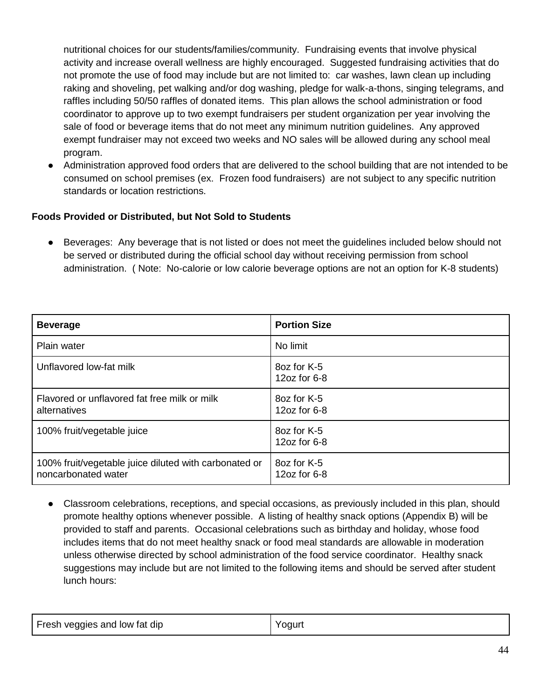nutritional choices for our students/families/community. Fundraising events that involve physical activity and increase overall wellness are highly encouraged. Suggested fundraising activities that do not promote the use of food may include but are not limited to: car washes, lawn clean up including raking and shoveling, pet walking and/or dog washing, pledge for walk-a-thons, singing telegrams, and raffles including 50/50 raffles of donated items. This plan allows the school administration or food coordinator to approve up to two exempt fundraisers per student organization per year involving the sale of food or beverage items that do not meet any minimum nutrition guidelines. Any approved exempt fundraiser may not exceed two weeks and NO sales will be allowed during any school meal program.

● Administration approved food orders that are delivered to the school building that are not intended to be consumed on school premises (ex. Frozen food fundraisers) are not subject to any specific nutrition standards or location restrictions.

# **Foods Provided or Distributed, but Not Sold to Students**

Beverages: Any beverage that is not listed or does not meet the guidelines included below should not be served or distributed during the official school day without receiving permission from school administration. ( Note: No-calorie or low calorie beverage options are not an option for K-8 students)

| <b>Beverage</b>                                                              | <b>Portion Size</b>         |
|------------------------------------------------------------------------------|-----------------------------|
| Plain water                                                                  | No limit                    |
| Unflavored low-fat milk                                                      | 8oz for K-5<br>12oz for 6-8 |
| Flavored or unflavored fat free milk or milk<br>alternatives                 | 8oz for K-5<br>12oz for 6-8 |
| 100% fruit/vegetable juice                                                   | 8oz for K-5<br>12oz for 6-8 |
| 100% fruit/vegetable juice diluted with carbonated or<br>noncarbonated water | 8oz for K-5<br>12oz for 6-8 |

Classroom celebrations, receptions, and special occasions, as previously included in this plan, should promote healthy options whenever possible. A listing of healthy snack options (Appendix B) will be provided to staff and parents. Occasional celebrations such as birthday and holiday, whose food includes items that do not meet healthy snack or food meal standards are allowable in moderation unless otherwise directed by school administration of the food service coordinator. Healthy snack suggestions may include but are not limited to the following items and should be served after student lunch hours:

| Fresh veggies and low fat dip | 'oaurt |
|-------------------------------|--------|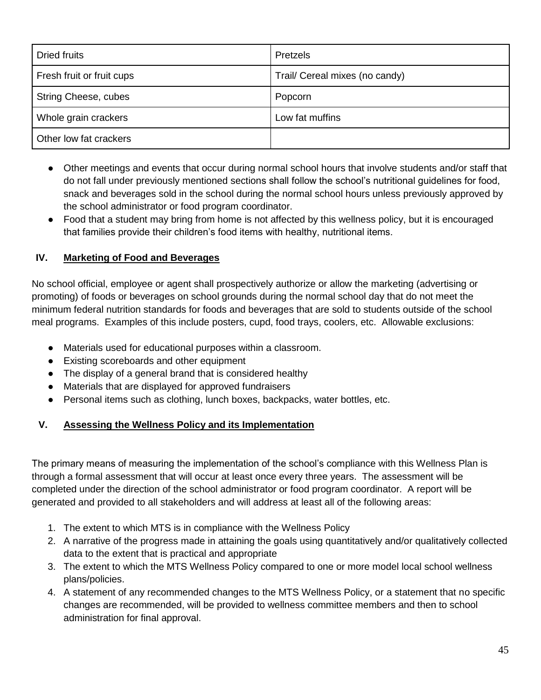| <b>Dried fruits</b>       | Pretzels                       |
|---------------------------|--------------------------------|
| Fresh fruit or fruit cups | Trail/ Cereal mixes (no candy) |
| String Cheese, cubes      | Popcorn                        |
| Whole grain crackers      | Low fat muffins                |
| Other low fat crackers    |                                |

- Other meetings and events that occur during normal school hours that involve students and/or staff that do not fall under previously mentioned sections shall follow the school's nutritional guidelines for food, snack and beverages sold in the school during the normal school hours unless previously approved by the school administrator or food program coordinator.
- Food that a student may bring from home is not affected by this wellness policy, but it is encouraged that families provide their children's food items with healthy, nutritional items.

# **IV. Marketing of Food and Beverages**

No school official, employee or agent shall prospectively authorize or allow the marketing (advertising or promoting) of foods or beverages on school grounds during the normal school day that do not meet the minimum federal nutrition standards for foods and beverages that are sold to students outside of the school meal programs. Examples of this include posters, cupd, food trays, coolers, etc. Allowable exclusions:

- Materials used for educational purposes within a classroom.
- Existing scoreboards and other equipment
- The display of a general brand that is considered healthy
- Materials that are displayed for approved fundraisers
- Personal items such as clothing, lunch boxes, backpacks, water bottles, etc.

# **V. Assessing the Wellness Policy and its Implementation**

The primary means of measuring the implementation of the school's compliance with this Wellness Plan is through a formal assessment that will occur at least once every three years. The assessment will be completed under the direction of the school administrator or food program coordinator. A report will be generated and provided to all stakeholders and will address at least all of the following areas:

- 1. The extent to which MTS is in compliance with the Wellness Policy
- 2. A narrative of the progress made in attaining the goals using quantitatively and/or qualitatively collected data to the extent that is practical and appropriate
- 3. The extent to which the MTS Wellness Policy compared to one or more model local school wellness plans/policies.
- 4. A statement of any recommended changes to the MTS Wellness Policy, or a statement that no specific changes are recommended, will be provided to wellness committee members and then to school administration for final approval.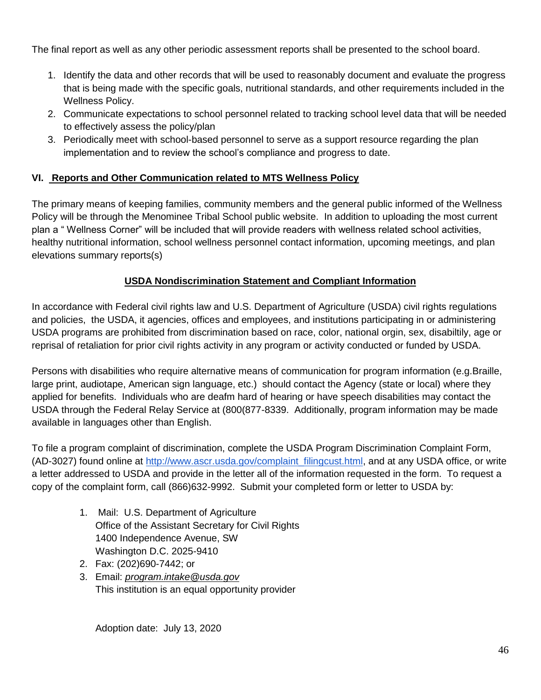The final report as well as any other periodic assessment reports shall be presented to the school board.

- 1. Identify the data and other records that will be used to reasonably document and evaluate the progress that is being made with the specific goals, nutritional standards, and other requirements included in the Wellness Policy.
- 2. Communicate expectations to school personnel related to tracking school level data that will be needed to effectively assess the policy/plan
- 3. Periodically meet with school-based personnel to serve as a support resource regarding the plan implementation and to review the school's compliance and progress to date.

# **VI. Reports and Other Communication related to MTS Wellness Policy**

The primary means of keeping families, community members and the general public informed of the Wellness Policy will be through the Menominee Tribal School public website. In addition to uploading the most current plan a " Wellness Corner" will be included that will provide readers with wellness related school activities, healthy nutritional information, school wellness personnel contact information, upcoming meetings, and plan elevations summary reports(s)

# **USDA Nondiscrimination Statement and Compliant Information**

In accordance with Federal civil rights law and U.S. Department of Agriculture (USDA) civil rights regulations and policies, the USDA, it agencies, offices and employees, and institutions participating in or administering USDA programs are prohibited from discrimination based on race, color, national orgin, sex, disabiltily, age or reprisal of retaliation for prior civil rights activity in any program or activity conducted or funded by USDA.

Persons with disabilities who require alternative means of communication for program information (e.g.Braille, large print, audiotape, American sign language, etc.) should contact the Agency (state or local) where they applied for benefits. Individuals who are deafm hard of hearing or have speech disabilities may contact the USDA through the Federal Relay Service at (800(877-8339. Additionally, program information may be made available in languages other than English.

To file a program complaint of discrimination, complete the USDA Program Discrimination Complaint Form, (AD-3027) found online at [http://www.ascr.usda.gov/complaint\\_filingcust.html,](http://www.ascr.usda.gov/complaint_filingcust.html) and at any USDA office, or write a letter addressed to USDA and provide in the letter all of the information requested in the form. To request a copy of the complaint form, call (866)632-9992. Submit your completed form or letter to USDA by:

- 1. Mail: U.S. Department of Agriculture Office of the Assistant Secretary for Civil Rights 1400 Independence Avenue, SW Washington D.C. 2025-9410
- 2. Fax: (202)690-7442; or
- 3. Email: *program.intake@usda.gov* This institution is an equal opportunity provider

Adoption date: July 13, 2020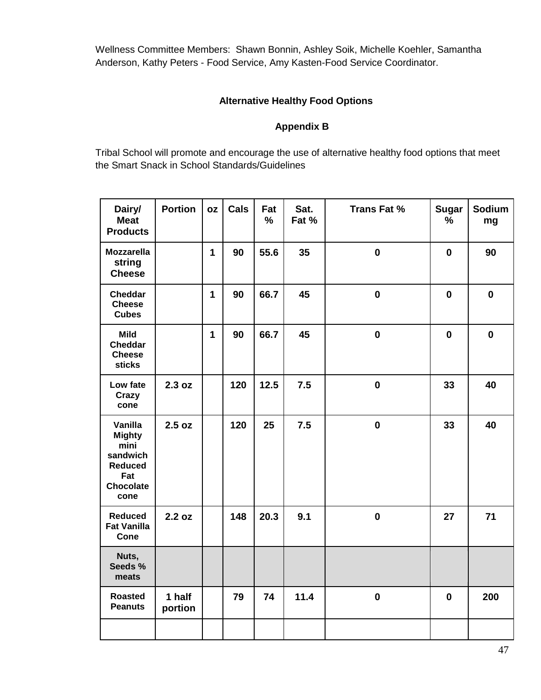Wellness Committee Members: Shawn Bonnin, Ashley Soik, Michelle Koehler, Samantha Anderson, Kathy Peters - Food Service, Amy Kasten-Food Service Coordinator.

# **Alternative Healthy Food Options**

# **Appendix B**

Tribal School will promote and encourage the use of alternative healthy food options that meet the Smart Snack in School Standards/Guidelines

| Dairy/<br><b>Meat</b><br><b>Products</b>                                                          | <b>Portion</b>    | <b>OZ</b>    | Cals | Fat<br>% | Sat.<br>Fat % | <b>Trans Fat %</b> | <b>Sugar</b><br>$\frac{9}{6}$ | Sodium<br>mg |
|---------------------------------------------------------------------------------------------------|-------------------|--------------|------|----------|---------------|--------------------|-------------------------------|--------------|
| <b>Mozzarella</b><br>string<br><b>Cheese</b>                                                      |                   | $\mathbf{1}$ | 90   | 55.6     | 35            | $\mathbf 0$        | $\mathbf 0$                   | 90           |
| <b>Cheddar</b><br><b>Cheese</b><br><b>Cubes</b>                                                   |                   | $\mathbf{1}$ | 90   | 66.7     | 45            | $\mathbf 0$        | $\mathbf 0$                   | $\mathbf 0$  |
| <b>Mild</b><br>Cheddar<br><b>Cheese</b><br>sticks                                                 |                   | $\mathbf{1}$ | 90   | 66.7     | 45            | $\mathbf 0$        | $\mathbf 0$                   | $\mathbf 0$  |
| Low fate<br>Crazy<br>cone                                                                         | 2.3 oz            |              | 120  | 12.5     | 7.5           | $\mathbf 0$        | 33                            | 40           |
| Vanilla<br><b>Mighty</b><br>mini<br>sandwich<br><b>Reduced</b><br>Fat<br><b>Chocolate</b><br>cone | 2.5 oz            |              | 120  | 25       | 7.5           | $\mathbf 0$        | 33                            | 40           |
| <b>Reduced</b><br><b>Fat Vanilla</b><br>Cone                                                      | 2.2 oz            |              | 148  | 20.3     | 9.1           | $\mathbf 0$        | 27                            | 71           |
| Nuts,<br>Seeds %<br>meats                                                                         |                   |              |      |          |               |                    |                               |              |
| <b>Roasted</b><br><b>Peanuts</b>                                                                  | 1 half<br>portion |              | 79   | 74       | 11.4          | $\mathbf 0$        | $\mathbf 0$                   | 200          |
|                                                                                                   |                   |              |      |          |               |                    |                               |              |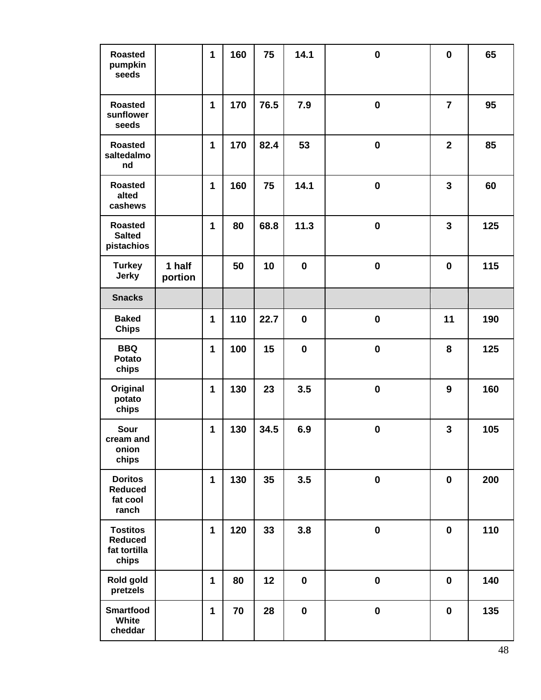| <b>Roasted</b><br>pumpkin<br>seeds                         |                   | $\mathbf{1}$ | 160 | 75   | 14.1        | $\mathbf 0$ | $\mathbf 0$    | 65  |
|------------------------------------------------------------|-------------------|--------------|-----|------|-------------|-------------|----------------|-----|
| <b>Roasted</b><br>sunflower<br>seeds                       |                   | $\mathbf{1}$ | 170 | 76.5 | 7.9         | $\mathbf 0$ | $\overline{7}$ | 95  |
| <b>Roasted</b><br>saltedalmo<br>nd                         |                   | 1            | 170 | 82.4 | 53          | $\mathbf 0$ | $\overline{2}$ | 85  |
| <b>Roasted</b><br>alted<br>cashews                         |                   | 1            | 160 | 75   | 14.1        | $\mathbf 0$ | 3              | 60  |
| <b>Roasted</b><br><b>Salted</b><br>pistachios              |                   | 1            | 80  | 68.8 | 11.3        | $\bf{0}$    | 3              | 125 |
| <b>Turkey</b><br><b>Jerky</b>                              | 1 half<br>portion |              | 50  | 10   | $\mathbf 0$ | $\mathbf 0$ | $\mathbf 0$    | 115 |
| <b>Snacks</b>                                              |                   |              |     |      |             |             |                |     |
| <b>Baked</b><br><b>Chips</b>                               |                   | 1            | 110 | 22.7 | $\mathbf 0$ | $\bf{0}$    | 11             | 190 |
| <b>BBQ</b><br><b>Potato</b><br>chips                       |                   | $\mathbf{1}$ | 100 | 15   | $\mathbf 0$ | $\mathbf 0$ | 8              | 125 |
| Original<br>potato<br>chips                                |                   | 1            | 130 | 23   | 3.5         | $\mathbf 0$ | 9              | 160 |
| Sour<br>cream and<br>onion<br>chips                        |                   | 1            | 130 | 34.5 | 6.9         | $\mathbf 0$ | 3              | 105 |
| <b>Doritos</b><br><b>Reduced</b><br>fat cool<br>ranch      |                   | 1            | 130 | 35   | 3.5         | $\mathbf 0$ | $\mathbf 0$    | 200 |
| <b>Tostitos</b><br><b>Reduced</b><br>fat tortilla<br>chips |                   | 1            | 120 | 33   | 3.8         | $\pmb{0}$   | $\mathbf 0$    | 110 |
| Rold gold<br>pretzels                                      |                   | 1            | 80  | 12   | $\mathbf 0$ | $\mathbf 0$ | $\pmb{0}$      | 140 |
| <b>Smartfood</b><br>White<br>cheddar                       |                   | 1            | 70  | 28   | $\pmb{0}$   | $\mathbf 0$ | $\pmb{0}$      | 135 |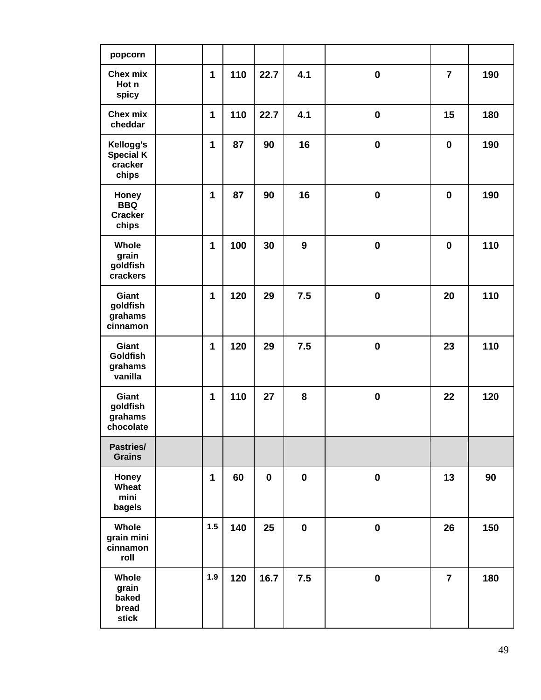| popcorn                                           |              |     |             |                  |                  |                |     |
|---------------------------------------------------|--------------|-----|-------------|------------------|------------------|----------------|-----|
| Chex mix<br>Hot n<br>spicy                        | 1            | 110 | 22.7        | 4.1              | $\mathbf 0$      | $\overline{7}$ | 190 |
| Chex mix<br>cheddar                               | 1            | 110 | 22.7        | 4.1              | $\boldsymbol{0}$ | 15             | 180 |
| Kellogg's<br><b>Special K</b><br>cracker<br>chips | $\mathbf{1}$ | 87  | 90          | 16               | $\mathbf 0$      | $\mathbf 0$    | 190 |
| Honey<br><b>BBQ</b><br><b>Cracker</b><br>chips    | 1            | 87  | 90          | 16               | $\mathbf 0$      | $\mathbf 0$    | 190 |
| Whole<br>grain<br>goldfish<br>crackers            | 1            | 100 | 30          | 9                | $\bf{0}$         | $\mathbf 0$    | 110 |
| Giant<br>goldfish<br>grahams<br>cinnamon          | 1            | 120 | 29          | 7.5              | $\mathbf 0$      | 20             | 110 |
| Giant<br><b>Goldfish</b><br>grahams<br>vanilla    | 1            | 120 | 29          | 7.5              | $\bf{0}$         | 23             | 110 |
| Giant<br>goldfish<br>grahams<br>chocolate         | 1            | 110 | 27          | 8                | $\mathbf 0$      | 22             | 120 |
| Pastries/<br><b>Grains</b>                        |              |     |             |                  |                  |                |     |
| Honey<br>Wheat<br>mini<br>bagels                  | 1            | 60  | $\mathbf 0$ | $\mathbf 0$      | $\pmb{0}$        | 13             | 90  |
| Whole<br>grain mini<br>cinnamon<br>roll           | 1.5          | 140 | 25          | $\boldsymbol{0}$ | $\boldsymbol{0}$ | 26             | 150 |
| Whole<br>grain<br>baked<br>bread<br>stick         | 1.9          | 120 | 16.7        | 7.5              | $\pmb{0}$        | $\overline{7}$ | 180 |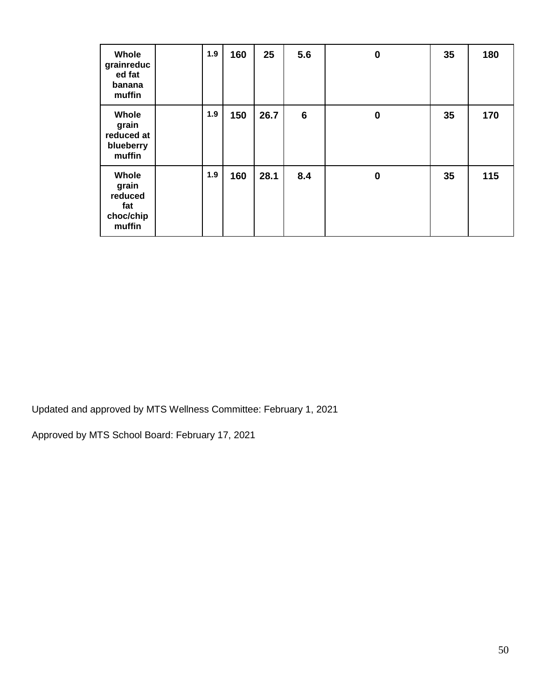| Whole<br>grainreduc<br>ed fat<br>banana<br>muffin       | 1.9 | 160 | 25   | 5.6             | $\bf{0}$ | 35 | 180 |
|---------------------------------------------------------|-----|-----|------|-----------------|----------|----|-----|
| Whole<br>grain<br>reduced at<br>blueberry<br>muffin     | 1.9 | 150 | 26.7 | $6\phantom{1}6$ | $\bf{0}$ | 35 | 170 |
| Whole<br>grain<br>reduced<br>fat<br>choc/chip<br>muffin | 1.9 | 160 | 28.1 | 8.4             | $\bf{0}$ | 35 | 115 |

Updated and approved by MTS Wellness Committee: February 1, 2021

Approved by MTS School Board: February 17, 2021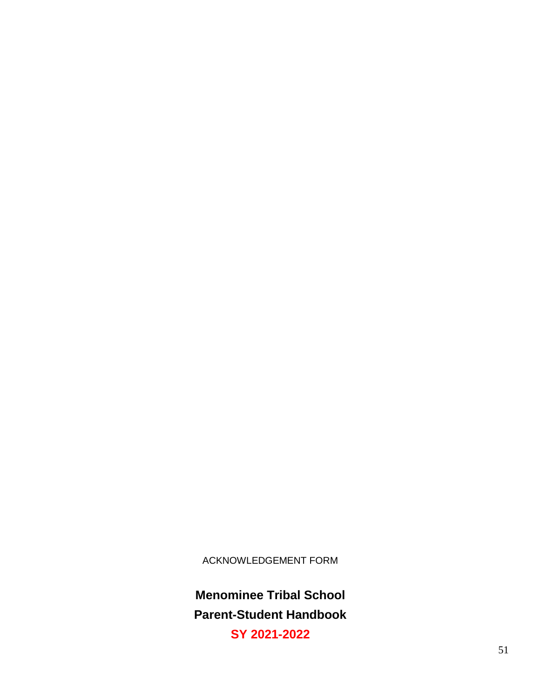ACKNOWLEDGEMENT FORM

**Menominee Tribal School Parent-Student Handbook**

**SY 2021-2022**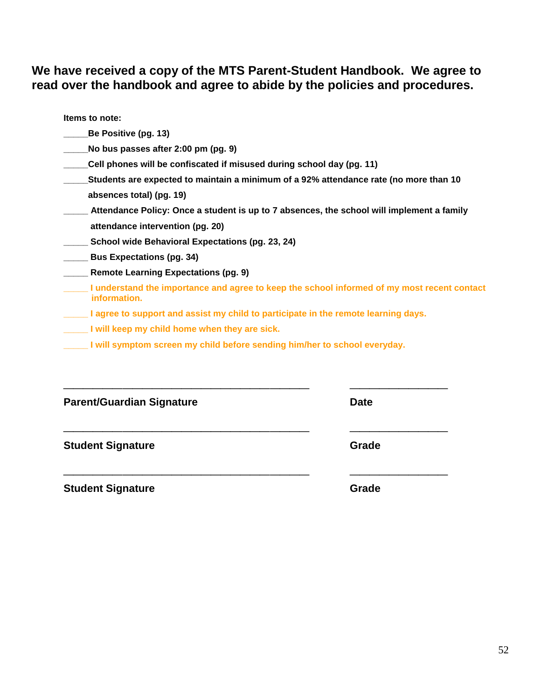# **We have received a copy of the MTS Parent-Student Handbook. We agree to read over the handbook and agree to abide by the policies and procedures.**

**Items to note:**

- **\_\_\_\_\_Be Positive (pg. 13)**
- **\_\_\_\_\_No bus passes after 2:00 pm (pg. 9)**
- **\_\_\_\_\_Cell phones will be confiscated if misused during school day (pg. 11)**
- **\_\_\_\_\_Students are expected to maintain a minimum of a 92% attendance rate (no more than 10 absences total) (pg. 19)**
- **\_\_\_\_\_ Attendance Policy: Once a student is up to 7 absences, the school will implement a family attendance intervention (pg. 20)**
- **\_\_\_\_\_ School wide Behavioral Expectations (pg. 23, 24)**
- **\_\_\_\_\_ Bus Expectations (pg. 34)**
- **\_\_\_\_\_ Remote Learning Expectations (pg. 9)**
- **\_\_\_\_\_ I understand the importance and agree to keep the school informed of my most recent contact information.**
- **\_\_\_\_\_ I agree to support and assist my child to participate in the remote learning days.**
- **\_\_\_\_\_ I will keep my child home when they are sick.**
- **\_\_\_\_\_ I will symptom screen my child before sending him/her to school everyday.**

| <b>Parent/Guardian Signature</b> | <b>Date</b> |
|----------------------------------|-------------|
| <b>Student Signature</b>         | Grade       |
| <b>Student Signature</b>         | Grade       |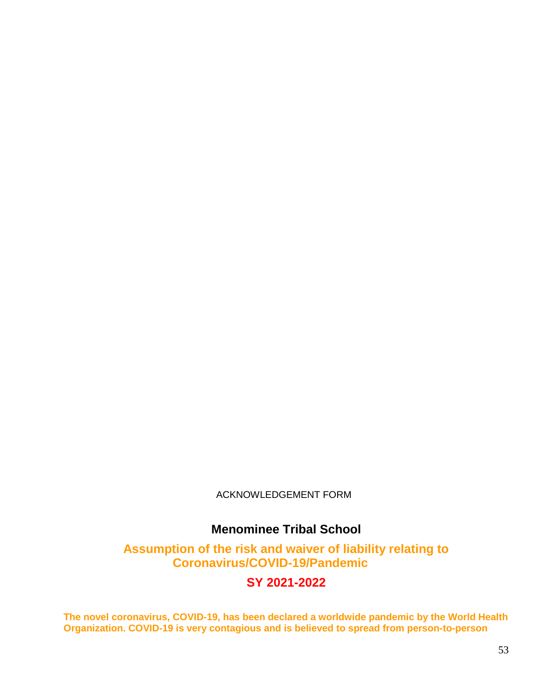ACKNOWLEDGEMENT FORM

# **Menominee Tribal School**

**Assumption of the risk and waiver of liability relating to Coronavirus/COVID-19/Pandemic**

**SY 2021-2022**

**The novel coronavirus, COVID-19, has been declared a worldwide pandemic by the World Health Organization. COVID-19 is very contagious and is believed to spread from person-to-person**